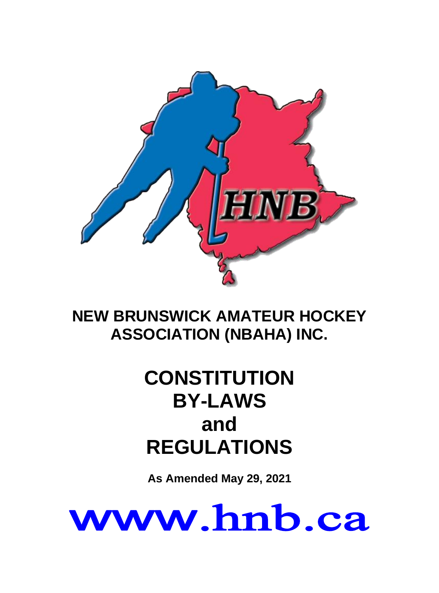

**NEW BRUNSWICK AMATEUR HOCKEY ASSOCIATION (NBAHA) INC.**

# **CONSTITUTION BY-LAWS and REGULATIONS**

**As Amended May 29, 2021**

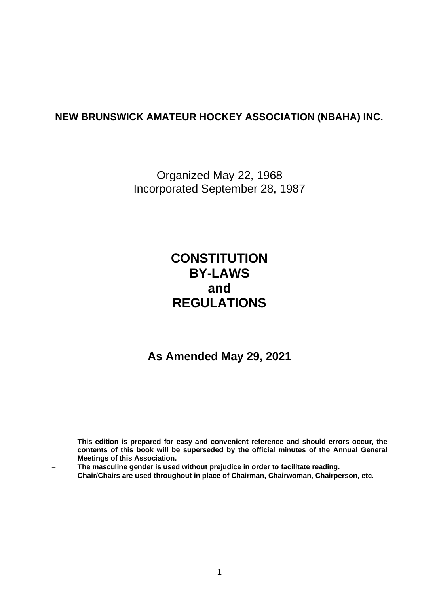#### **NEW BRUNSWICK AMATEUR HOCKEY ASSOCIATION (NBAHA) INC.**

Organized May 22, 1968 Incorporated September 28, 1987

# **CONSTITUTION BY-LAWS and REGULATIONS**

### **As Amended May 29, 2021**

- The masculine gender is used without prejudice in order to facilitate reading.
- − **Chair/Chairs are used throughout in place of Chairman, Chairwoman, Chairperson, etc.**

This edition is prepared for easy and convenient reference and should errors occur, the **contents of this book will be superseded by the official minutes of the Annual General Meetings of this Association.**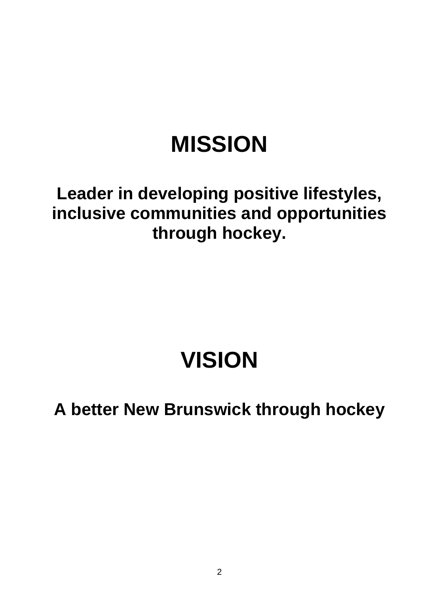# **MISSION**

# **Leader in developing positive lifestyles, inclusive communities and opportunities through hockey.**

# **VISION**

**A better New Brunswick through hockey**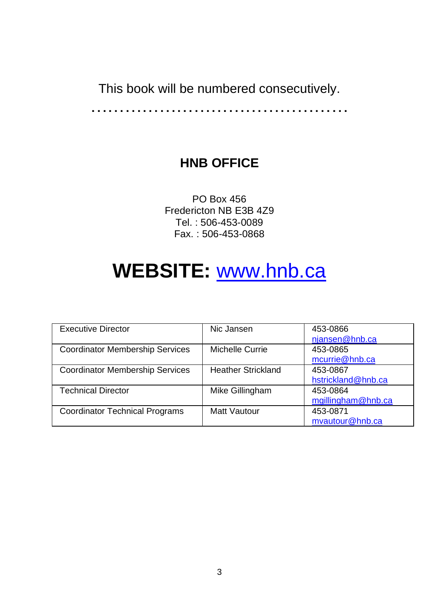This book will be numbered consecutively.

……………………………………………

# **HNB OFFICE**

PO Box 456 Fredericton NB E3B 4Z9 Tel. : 506-453-0089 Fax. : 506-453-0868

# **WEBSITE:** [www.hnb.ca](http://www.hnb.ca/)

| <b>Executive Director</b>              | Nic Jansen                | 453-0866<br>njansen@hnb.ca     |
|----------------------------------------|---------------------------|--------------------------------|
| <b>Coordinator Membership Services</b> | Michelle Currie           | 453-0865<br>mcurrie@hnb.ca     |
| Coordinator Membership Services        | <b>Heather Strickland</b> | 453-0867<br>hstrickland@hnb.ca |
| <b>Technical Director</b>              | Mike Gillingham           | 453-0864<br>mgillingham@hnb.ca |
| <b>Coordinator Technical Programs</b>  | Matt Vautour              | 453-0871<br>mvautour@hnb.ca    |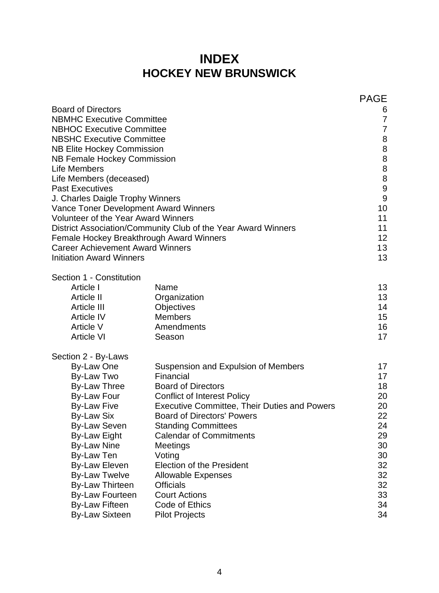## **INDEX HOCKEY NEW BRUNSWICK**

|                                                                     |                                                               | <b>PAGE</b>    |
|---------------------------------------------------------------------|---------------------------------------------------------------|----------------|
| <b>Board of Directors</b>                                           |                                                               | 6              |
| <b>NBMHC Executive Committee</b>                                    |                                                               | $\overline{7}$ |
| <b>NBHOC Executive Committee</b>                                    |                                                               | $\overline{7}$ |
| <b>NBSHC Executive Committee</b>                                    |                                                               | 8              |
| NB Elite Hockey Commission                                          |                                                               | 8              |
| NB Female Hockey Commission                                         |                                                               | 8              |
| Life Members                                                        |                                                               | 8              |
| Life Members (deceased)                                             |                                                               | 8              |
| <b>Past Executives</b>                                              |                                                               | 9              |
| J. Charles Daigle Trophy Winners                                    |                                                               | 9              |
| Vance Toner Development Award Winners                               |                                                               | 10             |
| Volunteer of the Year Award Winners                                 |                                                               | 11             |
|                                                                     | District Association/Community Club of the Year Award Winners | 11<br>12       |
| Female Hockey Breakthrough Award Winners                            |                                                               | 13             |
| Career Achievement Award Winners<br><b>Initiation Award Winners</b> |                                                               | 13             |
|                                                                     |                                                               |                |
| Section 1 - Constitution                                            |                                                               |                |
| Article I                                                           | Name                                                          | 13             |
| Article II                                                          | Organization                                                  | 13             |
| Article III                                                         | Objectives                                                    | 14             |
| Article IV                                                          | <b>Members</b>                                                | 15             |
| Article V                                                           | Amendments                                                    | 16             |
| Article VI                                                          | Season                                                        | 17             |
| Section 2 - By-Laws                                                 |                                                               |                |
| By-Law One                                                          | Suspension and Expulsion of Members                           | 17             |
| By-Law Two                                                          | Financial                                                     | 17             |
| By-Law Three                                                        | <b>Board of Directors</b>                                     | 18             |
| By-Law Four                                                         | Conflict of Interest Policy                                   | 20             |
| By-Law Five                                                         | Executive Committee. Their Duties and Powers                  | 20             |
| By-Law Six                                                          | Board of Directors' Powers                                    | 22             |
| By-Law Seven                                                        | <b>Standing Committees</b>                                    | 24             |
| By-Law Eight                                                        | <b>Calendar of Commitments</b>                                | 29             |
| By-Law Nine                                                         | Meetings                                                      | 30             |
| By-Law Ten                                                          | Voting                                                        | 30             |
| By-Law Eleven                                                       | Election of the President                                     | 32             |
| <b>By-Law Twelve</b>                                                | Allowable Expenses                                            | 32             |
| By-Law Thirteen                                                     | Officials                                                     | 32             |
| By-Law Fourteen                                                     | <b>Court Actions</b>                                          | 33             |
| By-Law Fifteen                                                      | Code of Ethics                                                | 34             |
| <b>By-Law Sixteen</b>                                               | <b>Pilot Projects</b>                                         | 34             |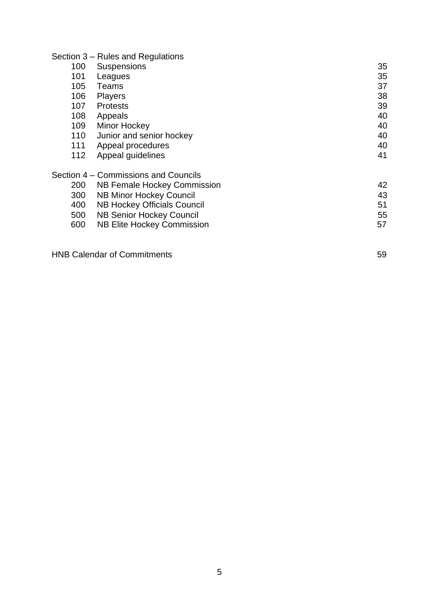|     | Section 3 - Rules and Regulations    |    |
|-----|--------------------------------------|----|
| 100 | Suspensions                          | 35 |
| 101 | Leagues                              | 35 |
| 105 | Teams                                | 37 |
| 106 | Players                              | 38 |
| 107 | <b>Protests</b>                      | 39 |
| 108 | Appeals                              | 40 |
| 109 | Minor Hockey                         | 40 |
| 110 | Junior and senior hockey             | 40 |
| 111 | Appeal procedures                    | 40 |
| 112 | Appeal quidelines                    | 41 |
|     | Section 4 – Commissions and Councils |    |
| 200 | NB Female Hockey Commission          | 42 |
| 300 | <b>NB Minor Hockey Council</b>       | 43 |
| 400 | NB Hockey Officials Council          | 51 |
| 500 | NB Senior Hockey Council             | 55 |
| 600 | NB Elite Hockey Commission           | 57 |
|     |                                      |    |
|     |                                      |    |

| <b>HNB Calendar of Commitments</b> |  |
|------------------------------------|--|
|------------------------------------|--|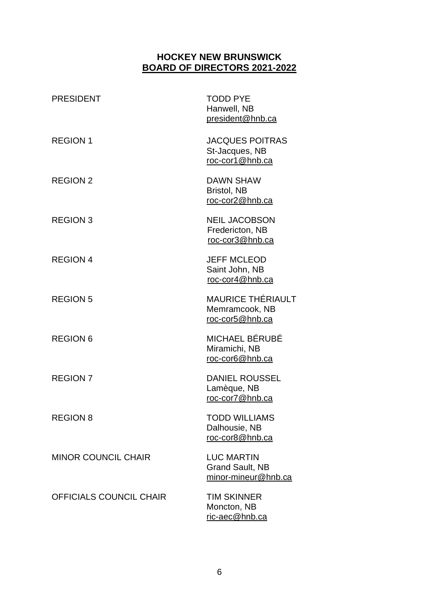#### **HOCKEY NEW BRUNSWICK BOARD OF DIRECTORS 2021-2022**

| <b>PRESIDENT</b>           | <b>TODD PYE</b><br>Hanwell, NB<br>president@hnb.ca            |
|----------------------------|---------------------------------------------------------------|
| <b>REGION 1</b>            | <b>JACQUES POITRAS</b><br>St-Jacques, NB<br>roc-cor1@hnb.ca   |
| <b>REGION 2</b>            | <b>DAWN SHAW</b><br>Bristol, NB<br>roc-cor2@hnb.ca            |
| <b>REGION 3</b>            | <b>NEIL JACOBSON</b><br>Fredericton, NB<br>roc-cor3@hnb.ca    |
| <b>REGION 4</b>            | <b>JEFF MCLEOD</b><br>Saint John, NB<br>roc-cor4@hnb.ca       |
| REGION 5                   | <b>MAURICE THÉRIAULT</b><br>Memramcook, NB<br>roc-cor5@hnb.ca |
| REGION 6                   | MICHAEL BÉRUBÉ<br>Miramichi, NB<br>roc-cor6@hnb.ca            |
| <b>REGION 7</b>            | <b>DANIEL ROUSSEL</b><br>Lamèque, NB<br>roc-cor7@hnb.ca       |
| <b>REGION 8</b>            | <b>TODD WILLIAMS</b><br>Dalhousie, NB<br>roc-cor8@hnb.ca      |
| <b>MINOR COUNCIL CHAIR</b> | <b>LUC MARTIN</b><br>Grand Sault, NB<br>minor-mineur@hnb.ca   |
| OFFICIALS COUNCIL CHAIR    | <b>TIM SKINNER</b><br>Moncton, NB<br>ric-aec@hnb.ca           |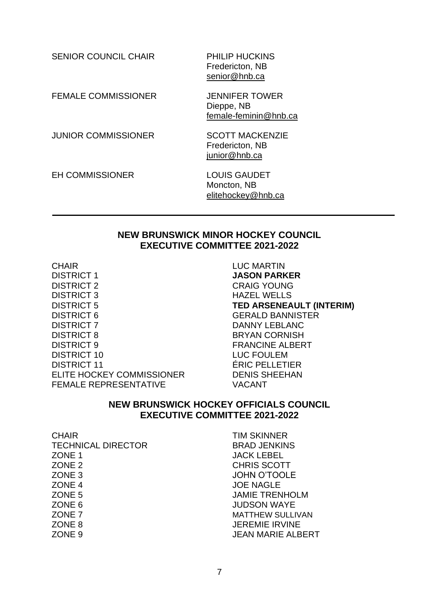| <b>SENIOR COUNCIL CHAIR</b> | PHILIP HUCKINS<br>Fredericton, NB<br>senior@hnb.ca           |
|-----------------------------|--------------------------------------------------------------|
| <b>FEMALE COMMISSIONER</b>  | <b>JENNIFER TOWER</b><br>Dieppe, NB<br>female-feminin@hnb.ca |
| <b>JUNIOR COMMISSIONER</b>  | <b>SCOTT MACKENZIE</b><br>Fredericton, NB<br>iunior@hnb.ca   |
| <b>EH COMMISSIONER</b>      | <b>LOUIS GAUDET</b><br>Moncton, NB<br>elitehockey@hnb.ca     |

#### **NEW BRUNSWICK MINOR HOCKEY COUNCIL EXECUTIVE COMMITTEE 2021-2022**

CHAIR<br>DISTRICT 1 DISTRICT 1 1 ASON PARK DISTRICT 2 CRAIG YOUNG<br>DISTRICT 3 HAZEL WELLS DISTRICT 3 HAZEL WELLS<br>DISTRICT 5 TED ARSENEA **DISTRICT 5 TED ARSENEAULT (INTERIM)**<br>DISTRICT 6 **TED ASSENTS GERALD BANNISTER** DISTRICT 7 DANNY LEBLANC<br>DISTRICT 8 BRYAN CORNISH DISTRICT 8 BRYAN CORNISH<br>DISTRICT 9 BRYAN CIRE DISTRICT 9 FRANCINE ALBERT<br>DISTRICT 10 LUC FOULEM DISTRICT 10<br>DISTRICT 11 DISTRICT 11 CENTER CONTROLLETI ELITE HOCKEY COMMISSIONER FEMALE REPRESENTATIVE VACANT

DISTRICT 1 **JASON PARKER GERALD BANNISTER** ÉRIC PELLETIER<br>DENIS SHEEHAN

#### **NEW BRUNSWICK HOCKEY OFFICIALS COUNCIL EXECUTIVE COMMITTEE 2021-2022**

| CHAIR                     | <b>TIM SKINNER</b>        |
|---------------------------|---------------------------|
| <b>TECHNICAL DIRECTOR</b> | <b>BRAD JENKINS</b>       |
| ZONE 1                    | <b>JACK LEBEL</b>         |
| ZONE <sub>2</sub>         | CHRIS SCOTT               |
| ZONE 3                    | <b>JOHN O'TOOLE</b>       |
| ZONE <sub>4</sub>         | <b>JOE NAGLE</b>          |
| ZONE 5                    | <b>JAMIE TRENHOLM</b>     |
| ZONE 6                    | <b>JUDSON WAYE</b>        |
| ZONE 7                    | <b>MATTHEW SULLIVAN</b>   |
| ZONE 8                    | <b>JEREMIE IRVINE</b>     |
| ZONE 9                    | <b>JEAN MARIE AI BERT</b> |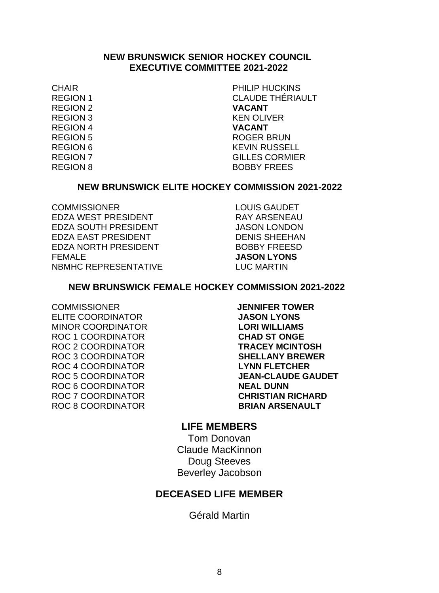#### **NEW BRUNSWICK SENIOR HOCKEY COUNCIL EXECUTIVE COMMITTEE 2021-2022**

REGION 2 **VACANT** REGION 4 **VACANT**

CHAIR<br>REGION 1 CLAUDE THÉRIA REGION 1<br>REGION 2 CLAUDE THÉRIAULT KEN OLIVER REGION 5 ROGER BRUN<br>REGION 6 REGION 6 REGION 6 KEVIN RUSSELL<br>REGION 7 GILLES CORMIEI REGION 7<br>REGION 8 GILLES CORMIER<br>ROBBY FREES **ROBBY FREES** 

#### **NEW BRUNSWICK ELITE HOCKEY COMMISSION 2021-2022**

COMMISSIONER<br>FDZA WEST PRESIDENT FRAMERIAL RAY ARSENEALL EDZA WEST PRESIDENT FOR A PART ARSENEAU<br>EDZA SOLITH PRESIDENT FOR ALASON LONDON EDZA SOUTH PRESIDENT JASON LONDON EDZA EAST PRESIDENT EDZA NORTH PRESIDENT BOBBY FREESD<br>FEMALE BORD BORD BORD BORD BOND FREESD NBMHC REPRESENTATIVE

**JASON LYONS**<br>**I LIC MARTIN** 

#### **NEW BRUNSWICK FEMALE HOCKEY COMMISSION 2021-2022**

COMMISSIONER **JENNIFER TOWER** ELITE COORDINATOR **JASON LYONS** MINOR COORDINATOR<br>ROC 1 COORDINATOR<br>**ROC 1 COORDINATOR ROC 1 COORDINATOR** ROC 2 COORDINATOR **TRACEY MCINTOSH** ROC 3 COORDINATOR **SHELLANY BREWER** ROC 4 COORDINATOR<br>ROC 5 COORDINATOR ROC 6 COORDINATOR<br>ROC 7 COORDINATOR **NEAL DUNN**<br>ROC 7 COORDINATOR **ROC 7 COORDINATOR** ROC 8 COORDINATOR **BRIAN ARSENAULT**

**JEAN-CLAUDE GAUDET** 

#### **LIFE MEMBERS**

Tom Donovan Claude MacKinnon Doug Steeves Beverley Jacobson

#### **DECEASED LIFE MEMBER**

Gérald Martin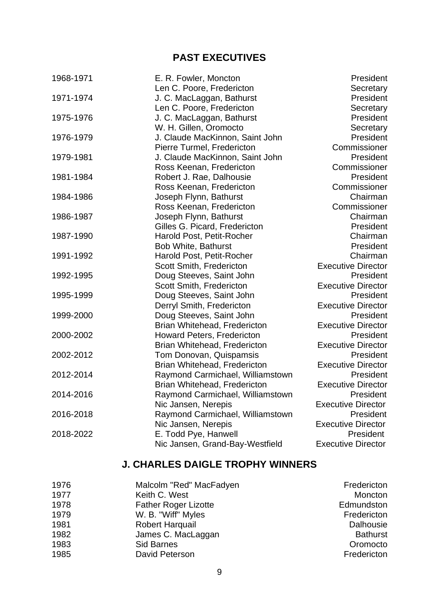#### **PAST EXECUTIVES**

| 1968-1971 | E. R. Fowler, Moncton            | President                 |
|-----------|----------------------------------|---------------------------|
|           | Len C. Poore, Fredericton        | Secretary                 |
| 1971-1974 | J. C. MacLaggan, Bathurst        | President                 |
|           | Len C. Poore, Fredericton        | Secretary                 |
| 1975-1976 | J. C. MacLaggan, Bathurst        | President                 |
|           | W. H. Gillen, Oromocto           | Secretary                 |
| 1976-1979 | J. Claude MacKinnon, Saint John  | President                 |
|           | Pierre Turmel, Fredericton       | Commissioner              |
| 1979-1981 | J. Claude MacKinnon, Saint John  | President                 |
|           | Ross Keenan, Fredericton         | Commissioner              |
| 1981-1984 | Robert J. Rae, Dalhousie         | President                 |
|           | Ross Keenan, Fredericton         | Commissioner              |
| 1984-1986 | Joseph Flynn, Bathurst           | Chairman                  |
|           | Ross Keenan, Fredericton         | Commissioner              |
| 1986-1987 | Joseph Flynn, Bathurst           | Chairman                  |
|           | Gilles G. Picard, Fredericton    | President                 |
| 1987-1990 | Harold Post, Petit-Rocher        | Chairman                  |
|           | Bob White, Bathurst              | President                 |
| 1991-1992 | Harold Post, Petit-Rocher        | Chairman                  |
|           | Scott Smith, Fredericton         | <b>Executive Director</b> |
| 1992-1995 | Doug Steeves, Saint John         | President                 |
|           | Scott Smith, Fredericton         | <b>Executive Director</b> |
| 1995-1999 | Doug Steeves, Saint John         | President                 |
|           | Derryl Smith, Fredericton        | <b>Executive Director</b> |
| 1999-2000 | Doug Steeves, Saint John         | President                 |
|           | Brian Whitehead, Fredericton     | <b>Executive Director</b> |
| 2000-2002 | Howard Peters, Fredericton       | President                 |
|           | Brian Whitehead, Fredericton     | <b>Executive Director</b> |
| 2002-2012 | Tom Donovan, Quispamsis          | President                 |
|           | Brian Whitehead, Fredericton     | <b>Executive Director</b> |
| 2012-2014 | Raymond Carmichael, Williamstown | President                 |
|           | Brian Whitehead, Fredericton     | <b>Executive Director</b> |
| 2014-2016 | Raymond Carmichael, Williamstown | President                 |
|           | Nic Jansen, Nerepis              | <b>Executive Director</b> |
| 2016-2018 | Raymond Carmichael, Williamstown | President                 |
|           | Nic Jansen, Nerepis              | <b>Executive Director</b> |
| 2018-2022 | E. Todd Pye, Hanwell             | President                 |
|           | Nic Jansen, Grand-Bay-Westfield  | <b>Executive Director</b> |

### **J. CHARLES DAIGLE TROPHY WINNERS**

| 1976 | Malcolm "Red" MacFadyen     | Fredericton |
|------|-----------------------------|-------------|
| 1977 | Keith C. West               | Moncton     |
| 1978 | <b>Father Roger Lizotte</b> | Edmundston  |
| 1979 | W. B. "Wiff" Myles          | Fredericton |
| 1981 | Robert Harquail             | Dalhousie   |
| 1982 | James C. MacLaggan          | Bathurst    |
| 1983 | Sid Barnes                  | Oromocto    |
| 1985 | David Peterson              | Fredericton |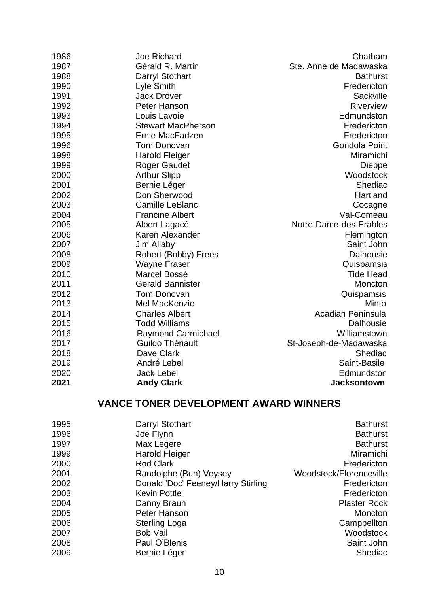| 1986 | Joe Richard             | Chatham                |
|------|-------------------------|------------------------|
| 1987 | Gérald R. Martin        | Ste. Anne de Madawaska |
| 1988 | Darryl Stothart         | <b>Bathurst</b>        |
| 1990 | Lyle Smith              | Fredericton            |
| 1991 | <b>Jack Drover</b>      | Sackville              |
| 1992 | Peter Hanson            | Riverview              |
| 1993 | Louis Lavoie            | Edmundston             |
| 1994 | Stewart MacPherson      | Fredericton            |
| 1995 | Ernie MacFadzen         | Fredericton            |
| 1996 | Tom Donovan             | Gondola Point          |
| 1998 | <b>Harold Fleiger</b>   | Miramichi              |
| 1999 | Roger Gaudet            | Dieppe                 |
| 2000 | <b>Arthur Slipp</b>     | Woodstock              |
| 2001 | Bernie Léger            | Shediac                |
| 2002 | Don Sherwood            | Hartland               |
| 2003 | Camille LeBlanc         | Cocagne                |
| 2004 | <b>Francine Albert</b>  | Val-Comeau             |
| 2005 | Albert Lagacé           | Notre-Dame-des-Erables |
| 2006 | Karen Alexander         | Flemington             |
| 2007 | Jim Allaby              | Saint John             |
| 2008 | Robert (Bobby) Frees    | Dalhousie              |
| 2009 | Wayne Fraser            | Quispamsis             |
| 2010 | Marcel Bossé            | <b>Tide Head</b>       |
| 2011 | <b>Gerald Bannister</b> | Moncton                |
| 2012 | Tom Donovan             | Quispamsis             |
| 2013 | Mel MacKenzie           | Minto                  |
| 2014 | <b>Charles Albert</b>   | Acadian Peninsula      |
| 2015 | <b>Todd Williams</b>    | Dalhousie              |
| 2016 | Raymond Carmichael      | Williamstown           |
| 2017 | Guildo Thériault        | St-Joseph-de-Madawaska |
| 2018 | Dave Clark              | Shediac                |
| 2019 | André Lebel             | Saint-Basile           |
| 2020 | Jack Lebel              | Edmundston             |
| 2021 | <b>Andy Clark</b>       | Jacksontown            |
|      |                         |                        |

## **VANCE TONER DEVELOPMENT AWARD WINNERS**

| 1995 | Darryl Stothart                    | <b>Bathurst</b>         |
|------|------------------------------------|-------------------------|
| 1996 | Joe Flynn                          | <b>Bathurst</b>         |
| 1997 | Max Legere                         | <b>Bathurst</b>         |
| 1999 | <b>Harold Fleiger</b>              | Miramichi               |
| 2000 | Rod Clark                          | Fredericton             |
| 2001 | Randolphe (Bun) Veysey             | Woodstock/Florenceville |
| 2002 | Donald 'Doc' Feeney/Harry Stirling | Fredericton             |
| 2003 | Kevin Pottle                       | Fredericton             |
| 2004 | Danny Braun                        | <b>Plaster Rock</b>     |
| 2005 | Peter Hanson                       | Moncton                 |
| 2006 | Sterling Loga                      | Campbellton             |
| 2007 | <b>Bob Vail</b>                    | Woodstock               |
| 2008 | Paul O'Blenis                      | Saint John              |
| 2009 | Bernie Léger                       | Shediac                 |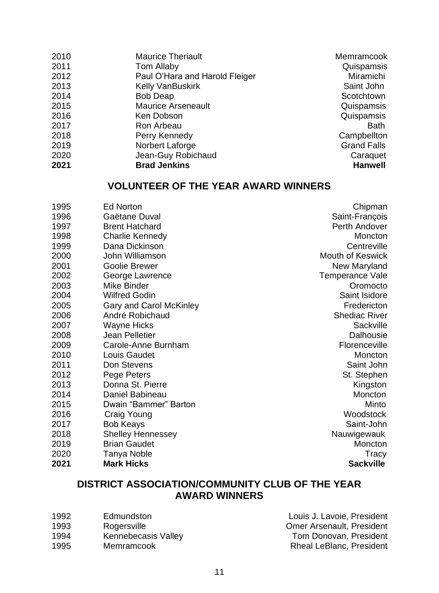2010 12010 Maurice Theriault 12010 Memramcook<br>12011 1202 Tom Allaby 12011 1202 2015 Maurice 2016 Tom Allaby Quispamsis 2012 Paul O'Hara and Harold Fleiger Miramichi<br>2013 Relly VanBuskirk Paul Discount Deant John 2013 Kelly VanBuskirk<br>2014 Bob Deap Bob Deap Scotchtown 2015 Maurice Arseneault<br>2016 Men Dobson 2016 Ken Dobson Quispamsis 2017 **Ron Arbeau** Bath<br>
2018 **Perry Kennedy Bath** Campbellton 2018 Perry Kennedy Campbellton Campbellton Perry Kennedy Campbellton Campbellton Campbellton Campbellton Campbellton Campbellton Campbellton Campbellton Campbellton Campbellton Campbellton Campbellton Campbellton Campbellt Norbert Laforge Jean-Guy Robichaud Caraquet **Brad Jenkins** 

#### **VOLUNTEER OF THE YEAR AWARD WINNERS**

| 1995 | Ed Norton                | Chipman          |
|------|--------------------------|------------------|
| 1996 | Gaëtane Duval            | Saint-Francois   |
| 1997 | <b>Brent Hatchard</b>    | Perth Andover    |
| 1998 | Charlie Kennedy          | Moncton          |
| 1999 | Dana Dickinson           | Centreville      |
| 2000 | John Williamson          | Mouth of Keswick |
| 2001 | Goolie Brewer            | New Maryland     |
| 2002 | George Lawrence          | Temperance Vale  |
| 2003 | Mike Binder              | Oromocto         |
| 2004 | Wilfred Godin            | Saint Isidore    |
| 2005 | Gary and Carol McKinley  | Fredericton      |
| 2006 | André Robichaud          | Shediac River    |
| 2007 | Wayne Hicks              | Sackville        |
| 2008 | Jean Pelletier           | Dalhousie        |
| 2009 | Carole-Anne Burnham      | Florenceville    |
| 2010 | Louis Gaudet             | Moncton          |
| 2011 | Don Stevens              | Saint John       |
| 2012 | Pege Peters              | St. Stephen      |
| 2013 | Donna St. Pierre         | Kingston         |
| 2014 | Daniel Babineau          | Moncton          |
| 2015 | Dwain "Bammer" Barton    | Minto            |
| 2016 | Craig Young              | Woodstock        |
| 2017 | <b>Bob Keays</b>         | Saint-John       |
| 2018 | <b>Shelley Hennessey</b> | Nauwigewauk      |
| 2019 | <b>Brian Gaudet</b>      | Moncton          |
| 2020 | Tanya Noble              | Tracy            |
| 2021 | <b>Mark Hicks</b>        | <b>Sackville</b> |

#### **DISTRICT ASSOCIATION/COMMUNITY CLUB OF THE YEAR AWARD WINNERS**

| 1992 | Edmundston |
|------|------------|
|------|------------|

- 
- 
- 

Louis J. Lavoie, President 1993 Rogersville Communisties Register Communisties Communisties Communisties Register Communisties Communist<br>1994 Rennebecasis Vallev Communisties Tom Donovan, President 1994 Kennebecasis Valley **Tom Donovan, President**<br>1995 Memramcook **Tom Donovan, President** Rheal LeBlanc, President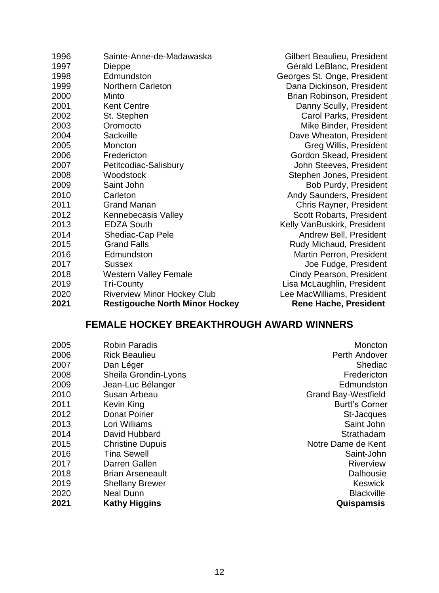| 2021 | Restigouche North Minor Hockey | Rene Hache, President       |
|------|--------------------------------|-----------------------------|
| 2020 | Riverview Minor Hockey Club    | Lee MacWilliams, President  |
| 2019 | <b>Tri-County</b>              | Lisa McLaughlin, President  |
| 2018 | Western Valley Female          | Cindy Pearson, President    |
| 2017 | Sussex                         | Joe Fudge, President        |
| 2016 | Edmundston                     | Martin Perron, President    |
| 2015 | <b>Grand Falls</b>             | Rudy Michaud, President     |
| 2014 | Shediac-Cap Pele               | Andrew Bell, President      |
| 2013 | <b>EDZA South</b>              | Kelly VanBuskirk, President |
| 2012 | Kennebecasis Valley            | Scott Robarts, President    |
| 2011 | <b>Grand Manan</b>             | Chris Rayner, President     |
| 2010 | Carleton                       | Andy Saunders, President    |
| 2009 | Saint John                     | Bob Purdy, President        |
| 2008 | Woodstock                      | Stephen Jones, President    |
| 2007 | Petitcodiac-Salisbury          | John Steeves, President     |
| 2006 | Fredericton                    | Gordon Skead, President     |
| 2005 | Moncton                        | Greg Willis, President      |
| 2004 | Sackville                      | Dave Wheaton, President     |
| 2003 | Oromocto                       | Mike Binder, President      |
| 2002 | St. Stephen                    | Carol Parks, President      |
| 2001 | Kent Centre                    | Danny Scully, President     |
| 2000 | Minto                          | Brian Robinson, President   |
| 1999 | Northern Carleton              | Dana Dickinson, President   |
| 1998 | Edmundston                     | Georges St. Onge, President |
| 1997 | Dieppe                         | Gérald LeBlanc, President   |
| 1996 | Sainte-Anne-de-Madawaska       | Gilbert Beaulieu, President |

## **FEMALE HOCKEY BREAKTHROUGH AWARD WINNERS**

| 2005 | Robin Paradis           | Moncton               |
|------|-------------------------|-----------------------|
| 2006 | <b>Rick Beaulieu</b>    | Perth Andover         |
| 2007 | Dan Léger               | Shediac               |
| 2008 | Sheila Grondin-Lyons    | Fredericton           |
| 2009 | Jean-Luc Bélanger       | Edmundston            |
| 2010 | Susan Arbeau            | Grand Bay-Westfield   |
| 2011 | Kevin King              | <b>Burtt's Corner</b> |
| 2012 | Donat Poirier           | St-Jacques            |
| 2013 | Lori Williams           | Saint John            |
| 2014 | David Hubbard           | Strathadam            |
| 2015 | <b>Christine Dupuis</b> | Notre Dame de Kent    |
| 2016 | <b>Tina Sewell</b>      | Saint-John            |
| 2017 | Darren Gallen           | Riverview             |
| 2018 | <b>Brian Arseneault</b> | Dalhousie             |
| 2019 | <b>Shellany Brewer</b>  | Keswick               |
| 2020 | Neal Dunn               | Blackville            |
| 2021 | <b>Kathy Higgins</b>    | Quispamsis            |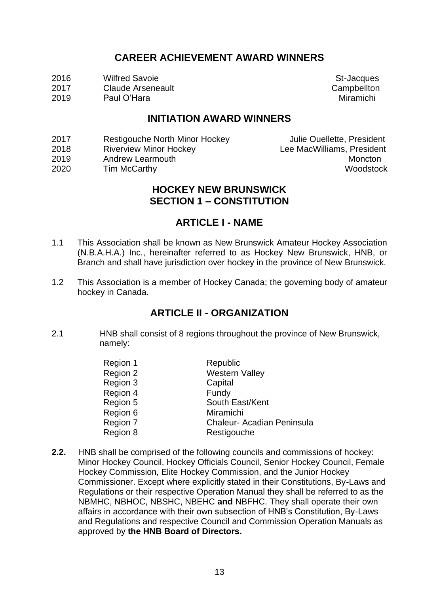#### **CAREER ACHIEVEMENT AWARD WINNERS**

- 2016 Wilfred Savoie **State State State State State State State State State State State State State State State**<br>2017 Claude Arseneault
- 2017 Claude Arseneault<br>
2019 Paul O'Here<br>
Miramichi
- Paul O'Hara

#### **INITIATION AWARD WINNERS**

- 2017 Restigouche North Minor Hockey Julie Ouellette, President<br>2018 Riverview Minor Hockey Jee MacWilliams President
- Riverview Minor Hockey
- 2019 Andrew Learmouth **Moncton** Moncton<br>2020 Tim McCarthy Monto Number of Woodstock
- Tim McCarthy

#### **HOCKEY NEW BRUNSWICK SECTION 1 – CONSTITUTION**

#### **ARTICLE I - NAME**

- 1.1 This Association shall be known as New Brunswick Amateur Hockey Association (N.B.A.H.A.) Inc., hereinafter referred to as Hockey New Brunswick, HNB, or Branch and shall have jurisdiction over hockey in the province of New Brunswick.
- 1.2 This Association is a member of Hockey Canada; the governing body of amateur hockey in Canada.

#### **ARTICLE II - ORGANIZATION**

2.1 HNB shall consist of 8 regions throughout the province of New Brunswick, namely:

| Region 1 | Republic                   |
|----------|----------------------------|
| Region 2 | Western Valley             |
| Region 3 | Capital                    |
| Region 4 | Fundy                      |
| Region 5 | South East/Kent            |
| Region 6 | Miramichi                  |
| Region 7 | Chaleur- Acadian Peninsula |
| Region 8 | Restigouche                |

**2.2.** HNB shall be comprised of the following councils and commissions of hockey: Minor Hockey Council, Hockey Officials Council, Senior Hockey Council, Female Hockey Commission, Elite Hockey Commission, and the Junior Hockey Commissioner. Except where explicitly stated in their Constitutions, By-Laws and Regulations or their respective Operation Manual they shall be referred to as the NBMHC, NBHOC, NBSHC, NBEHC **and** NBFHC. They shall operate their own affairs in accordance with their own subsection of HNB's Constitution, By-Laws and Regulations and respective Council and Commission Operation Manuals as approved by **the HNB Board of Directors.**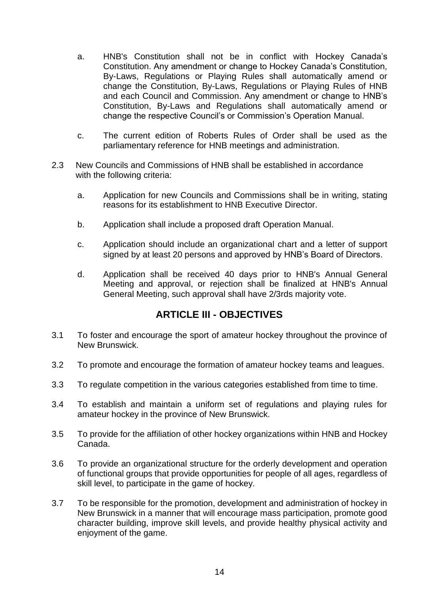- a. HNB's Constitution shall not be in conflict with Hockey Canada's Constitution. Any amendment or change to Hockey Canada's Constitution, By-Laws, Regulations or Playing Rules shall automatically amend or change the Constitution, By-Laws, Regulations or Playing Rules of HNB and each Council and Commission. Any amendment or change to HNB's Constitution, By-Laws and Regulations shall automatically amend or change the respective Council's or Commission's Operation Manual.
- c. The current edition of Roberts Rules of Order shall be used as the parliamentary reference for HNB meetings and administration.
- 2.3 New Councils and Commissions of HNB shall be established in accordance with the following criteria:
	- a. Application for new Councils and Commissions shall be in writing, stating reasons for its establishment to HNB Executive Director.
	- b. Application shall include a proposed draft Operation Manual.
	- c. Application should include an organizational chart and a letter of support signed by at least 20 persons and approved by HNB's Board of Directors.
	- d. Application shall be received 40 days prior to HNB's Annual General Meeting and approval, or rejection shall be finalized at HNB's Annual General Meeting, such approval shall have 2/3rds majority vote.

#### **ARTICLE III - OBJECTIVES**

- 3.1 To foster and encourage the sport of amateur hockey throughout the province of New Brunswick.
- 3.2 To promote and encourage the formation of amateur hockey teams and leagues.
- 3.3 To regulate competition in the various categories established from time to time.
- 3.4 To establish and maintain a uniform set of regulations and playing rules for amateur hockey in the province of New Brunswick.
- 3.5 To provide for the affiliation of other hockey organizations within HNB and Hockey Canada.
- 3.6 To provide an organizational structure for the orderly development and operation of functional groups that provide opportunities for people of all ages, regardless of skill level, to participate in the game of hockey.
- 3.7 To be responsible for the promotion, development and administration of hockey in New Brunswick in a manner that will encourage mass participation, promote good character building, improve skill levels, and provide healthy physical activity and enjoyment of the game.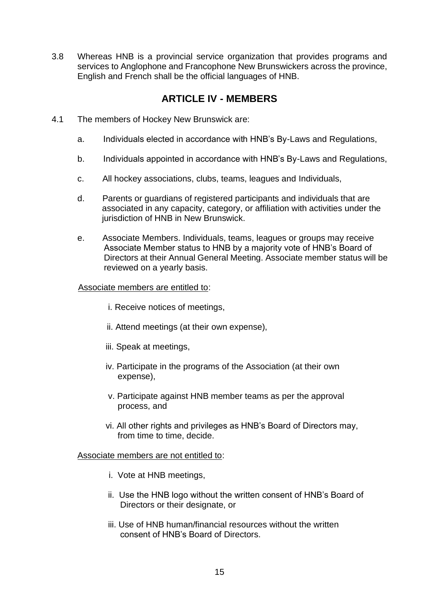3.8 Whereas HNB is a provincial service organization that provides programs and services to Anglophone and Francophone New Brunswickers across the province, English and French shall be the official languages of HNB.

#### **ARTICLE IV - MEMBERS**

- 4.1 The members of Hockey New Brunswick are:
	- a. Individuals elected in accordance with HNB's By-Laws and Regulations,
	- b. Individuals appointed in accordance with HNB's By-Laws and Regulations,
	- c. All hockey associations, clubs, teams, leagues and Individuals,
	- d. Parents or guardians of registered participants and individuals that are associated in any capacity, category, or affiliation with activities under the jurisdiction of HNB in New Brunswick.
	- e. Associate Members. Individuals, teams, leagues or groups may receive Associate Member status to HNB by a majority vote of HNB's Board of Directors at their Annual General Meeting. Associate member status will be reviewed on a yearly basis.

#### Associate members are entitled to:

- i. Receive notices of meetings,
- ii. Attend meetings (at their own expense),
- iii. Speak at meetings,
- iv. Participate in the programs of the Association (at their own expense),
- v. Participate against HNB member teams as per the approval process, and
- vi. All other rights and privileges as HNB's Board of Directors may, from time to time, decide.

#### Associate members are not entitled to:

- i. Vote at HNB meetings,
- ii. Use the HNB logo without the written consent of HNB's Board of Directors or their designate, or
- iii. Use of HNB human/financial resources without the written consent of HNB's Board of Directors.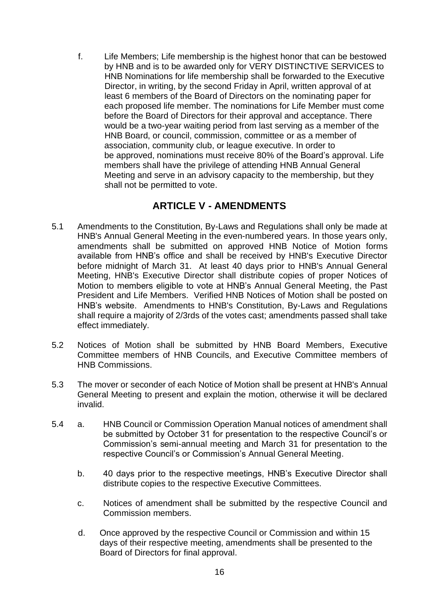f. Life Members; Life membership is the highest honor that can be bestowed by HNB and is to be awarded only for VERY DISTINCTIVE SERVICES to HNB Nominations for life membership shall be forwarded to the Executive Director, in writing, by the second Friday in April, written approval of at least 6 members of the Board of Directors on the nominating paper for each proposed life member. The nominations for Life Member must come before the Board of Directors for their approval and acceptance. There would be a two-year waiting period from last serving as a member of the HNB Board, or council, commission, committee or as a member of association, community club, or league executive. In order to be approved, nominations must receive 80% of the Board's approval. Life members shall have the privilege of attending HNB Annual General Meeting and serve in an advisory capacity to the membership, but they shall not be permitted to vote.

#### **ARTICLE V - AMENDMENTS**

- 5.1 Amendments to the Constitution, By-Laws and Regulations shall only be made at HNB's Annual General Meeting in the even-numbered years. In those years only, amendments shall be submitted on approved HNB Notice of Motion forms available from HNB's office and shall be received by HNB's Executive Director before midnight of March 31. At least 40 days prior to HNB's Annual General Meeting, HNB's Executive Director shall distribute copies of proper Notices of Motion to members eligible to vote at HNB's Annual General Meeting, the Past President and Life Members. Verified HNB Notices of Motion shall be posted on HNB's website. Amendments to HNB's Constitution, By-Laws and Regulations shall require a majority of 2/3rds of the votes cast; amendments passed shall take effect immediately.
- 5.2 Notices of Motion shall be submitted by HNB Board Members, Executive Committee members of HNB Councils, and Executive Committee members of HNB Commissions.
- 5.3 The mover or seconder of each Notice of Motion shall be present at HNB's Annual General Meeting to present and explain the motion, otherwise it will be declared invalid.
- 5.4 a. HNB Council or Commission Operation Manual notices of amendment shall be submitted by October 31 for presentation to the respective Council's or Commission's semi-annual meeting and March 31 for presentation to the respective Council's or Commission's Annual General Meeting.
	- b. 40 days prior to the respective meetings, HNB's Executive Director shall distribute copies to the respective Executive Committees.
	- c. Notices of amendment shall be submitted by the respective Council and Commission members.
	- d. Once approved by the respective Council or Commission and within 15 days of their respective meeting, amendments shall be presented to the Board of Directors for final approval.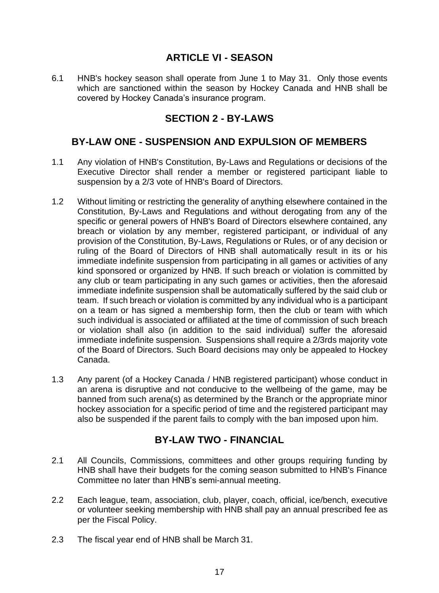#### **ARTICLE VI - SEASON**

6.1 HNB's hockey season shall operate from June 1 to May 31. Only those events which are sanctioned within the season by Hockey Canada and HNB shall be covered by Hockey Canada's insurance program.

#### **SECTION 2 - BY-LAWS**

#### **BY-LAW ONE - SUSPENSION AND EXPULSION OF MEMBERS**

- 1.1 Any violation of HNB's Constitution, By-Laws and Regulations or decisions of the Executive Director shall render a member or registered participant liable to suspension by a 2/3 vote of HNB's Board of Directors.
- 1.2 Without limiting or restricting the generality of anything elsewhere contained in the Constitution, By-Laws and Regulations and without derogating from any of the specific or general powers of HNB's Board of Directors elsewhere contained, any breach or violation by any member, registered participant, or individual of any provision of the Constitution, By-Laws, Regulations or Rules, or of any decision or ruling of the Board of Directors of HNB shall automatically result in its or his immediate indefinite suspension from participating in all games or activities of any kind sponsored or organized by HNB. If such breach or violation is committed by any club or team participating in any such games or activities, then the aforesaid immediate indefinite suspension shall be automatically suffered by the said club or team. If such breach or violation is committed by any individual who is a participant on a team or has signed a membership form, then the club or team with which such individual is associated or affiliated at the time of commission of such breach or violation shall also (in addition to the said individual) suffer the aforesaid immediate indefinite suspension. Suspensions shall require a 2/3rds majority vote of the Board of Directors. Such Board decisions may only be appealed to Hockey Canada.
- 1.3 Any parent (of a Hockey Canada / HNB registered participant) whose conduct in an arena is disruptive and not conducive to the wellbeing of the game, may be banned from such arena(s) as determined by the Branch or the appropriate minor hockey association for a specific period of time and the registered participant may also be suspended if the parent fails to comply with the ban imposed upon him.

#### **BY-LAW TWO - FINANCIAL**

- 2.1 All Councils, Commissions, committees and other groups requiring funding by HNB shall have their budgets for the coming season submitted to HNB's Finance Committee no later than HNB's semi-annual meeting.
- 2.2 Each league, team, association, club, player, coach, official, ice/bench, executive or volunteer seeking membership with HNB shall pay an annual prescribed fee as per the Fiscal Policy.
- 2.3 The fiscal year end of HNB shall be March 31.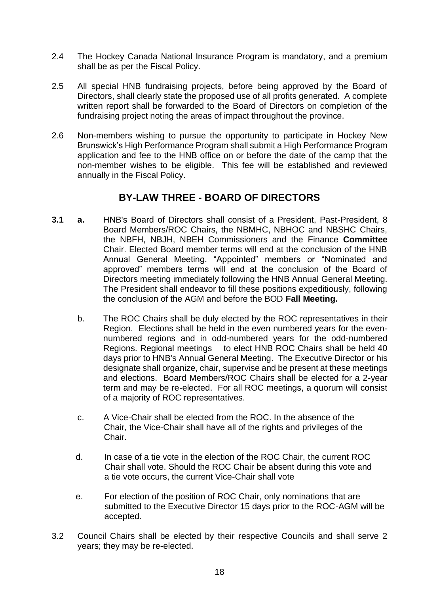- 2.4 The Hockey Canada National Insurance Program is mandatory, and a premium shall be as per the Fiscal Policy.
- 2.5 All special HNB fundraising projects, before being approved by the Board of Directors, shall clearly state the proposed use of all profits generated. A complete written report shall be forwarded to the Board of Directors on completion of the fundraising project noting the areas of impact throughout the province.
- 2.6 Non-members wishing to pursue the opportunity to participate in Hockey New Brunswick's High Performance Program shall submit a High Performance Program application and fee to the HNB office on or before the date of the camp that the non-member wishes to be eligible. This fee will be established and reviewed annually in the Fiscal Policy.

#### **BY-LAW THREE - BOARD OF DIRECTORS**

- **3.1 a.** HNB's Board of Directors shall consist of a President, Past-President, 8 Board Members/ROC Chairs, the NBMHC, NBHOC and NBSHC Chairs, the NBFH, NBJH, NBEH Commissioners and the Finance **Committee** Chair. Elected Board member terms will end at the conclusion of the HNB Annual General Meeting. "Appointed" members or "Nominated and approved" members terms will end at the conclusion of the Board of Directors meeting immediately following the HNB Annual General Meeting. The President shall endeavor to fill these positions expeditiously, following the conclusion of the AGM and before the BOD **Fall Meeting.**
	- b. The ROC Chairs shall be duly elected by the ROC representatives in their Region. Elections shall be held in the even numbered years for the evennumbered regions and in odd-numbered years for the odd-numbered Regions. Regional meetings to elect HNB ROC Chairs shall be held 40 days prior to HNB's Annual General Meeting. The Executive Director or his designate shall organize, chair, supervise and be present at these meetings and elections. Board Members/ROC Chairs shall be elected for a 2-year term and may be re-elected. For all ROC meetings, a quorum will consist of a majority of ROC representatives.
	- c. A Vice-Chair shall be elected from the ROC. In the absence of the Chair, the Vice-Chair shall have all of the rights and privileges of the Chair.
	- d. In case of a tie vote in the election of the ROC Chair, the current ROC Chair shall vote. Should the ROC Chair be absent during this vote and a tie vote occurs, the current Vice-Chair shall vote
	- e. For election of the position of ROC Chair, only nominations that are submitted to the Executive Director 15 days prior to the ROC-AGM will be accepted.
- 3.2 Council Chairs shall be elected by their respective Councils and shall serve 2 years; they may be re-elected.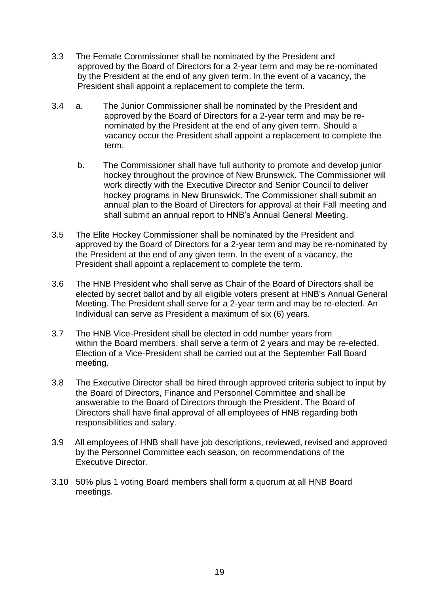- 3.3 The Female Commissioner shall be nominated by the President and approved by the Board of Directors for a 2-year term and may be re-nominated by the President at the end of any given term. In the event of a vacancy, the President shall appoint a replacement to complete the term.
- 3.4 a. The Junior Commissioner shall be nominated by the President and approved by the Board of Directors for a 2-year term and may be re nominated by the President at the end of any given term. Should a vacancy occur the President shall appoint a replacement to complete the term.
	- b. The Commissioner shall have full authority to promote and develop junior hockey throughout the province of New Brunswick. The Commissioner will work directly with the Executive Director and Senior Council to deliver hockey programs in New Brunswick. The Commissioner shall submit an annual plan to the Board of Directors for approval at their Fall meeting and shall submit an annual report to HNB's Annual General Meeting.
- 3.5 The Elite Hockey Commissioner shall be nominated by the President and approved by the Board of Directors for a 2-year term and may be re-nominated by the President at the end of any given term. In the event of a vacancy, the President shall appoint a replacement to complete the term.
- 3.6 The HNB President who shall serve as Chair of the Board of Directors shall be elected by secret ballot and by all eligible voters present at HNB's Annual General Meeting. The President shall serve for a 2-year term and may be re-elected. An Individual can serve as President a maximum of six (6) years.
- 3.7 The HNB Vice-President shall be elected in odd number years from within the Board members, shall serve a term of 2 years and may be re-elected. Election of a Vice-President shall be carried out at the September Fall Board meeting.
- 3.8 The Executive Director shall be hired through approved criteria subject to input by the Board of Directors, Finance and Personnel Committee and shall be answerable to the Board of Directors through the President. The Board of Directors shall have final approval of all employees of HNB regarding both responsibilities and salary.
- 3.9 All employees of HNB shall have job descriptions, reviewed, revised and approved by the Personnel Committee each season, on recommendations of the Executive Director.
- 3.10 50% plus 1 voting Board members shall form a quorum at all HNB Board meetings.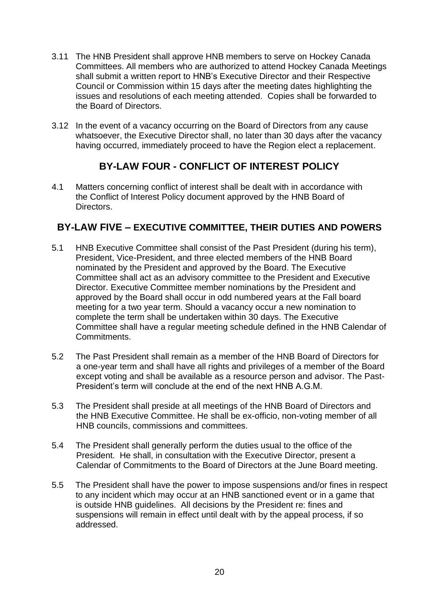- 3.11 The HNB President shall approve HNB members to serve on Hockey Canada Committees. All members who are authorized to attend Hockey Canada Meetings shall submit a written report to HNB's Executive Director and their Respective Council or Commission within 15 days after the meeting dates highlighting the issues and resolutions of each meeting attended. Copies shall be forwarded to the Board of Directors.
- 3.12 In the event of a vacancy occurring on the Board of Directors from any cause whatsoever, the Executive Director shall, no later than 30 days after the vacancy having occurred, immediately proceed to have the Region elect a replacement.

#### **BY-LAW FOUR - CONFLICT OF INTEREST POLICY**

4.1 Matters concerning conflict of interest shall be dealt with in accordance with the Conflict of Interest Policy document approved by the HNB Board of **Directors** 

#### **BY-LAW FIVE – EXECUTIVE COMMITTEE, THEIR DUTIES AND POWERS**

- 5.1 HNB Executive Committee shall consist of the Past President (during his term), President, Vice-President, and three elected members of the HNB Board nominated by the President and approved by the Board. The Executive Committee shall act as an advisory committee to the President and Executive Director. Executive Committee member nominations by the President and approved by the Board shall occur in odd numbered years at the Fall board meeting for a two year term. Should a vacancy occur a new nomination to complete the term shall be undertaken within 30 days. The Executive Committee shall have a regular meeting schedule defined in the HNB Calendar of Commitments.
- 5.2 The Past President shall remain as a member of the HNB Board of Directors for a one-year term and shall have all rights and privileges of a member of the Board except voting and shall be available as a resource person and advisor. The Past- President's term will conclude at the end of the next HNB A.G.M.
- 5.3 The President shall preside at all meetings of the HNB Board of Directors and the HNB Executive Committee. He shall be ex-officio, non-voting member of all HNB councils, commissions and committees.
- 5.4 The President shall generally perform the duties usual to the office of the President. He shall, in consultation with the Executive Director, present a Calendar of Commitments to the Board of Directors at the June Board meeting.
- 5.5 The President shall have the power to impose suspensions and/or fines in respect to any incident which may occur at an HNB sanctioned event or in a game that is outside HNB guidelines. All decisions by the President re: fines and suspensions will remain in effect until dealt with by the appeal process, if so addressed.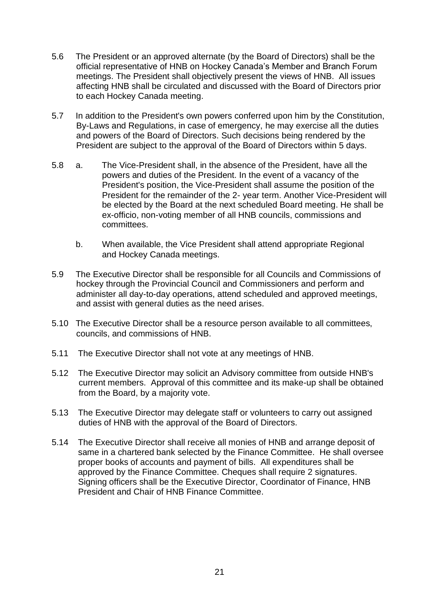- 5.6 The President or an approved alternate (by the Board of Directors) shall be the official representative of HNB on Hockey Canada's Member and Branch Forum meetings. The President shall objectively present the views of HNB. All issues affecting HNB shall be circulated and discussed with the Board of Directors prior to each Hockey Canada meeting.
- 5.7 In addition to the President's own powers conferred upon him by the Constitution, By-Laws and Regulations, in case of emergency, he may exercise all the duties and powers of the Board of Directors. Such decisions being rendered by the President are subject to the approval of the Board of Directors within 5 days.
- 5.8 a. The Vice-President shall, in the absence of the President, have all the powers and duties of the President. In the event of a vacancy of the President's position, the Vice-President shall assume the position of the President for the remainder of the 2- year term. Another Vice-President will be elected by the Board at the next scheduled Board meeting. He shall be ex-officio, non-voting member of all HNB councils, commissions and committees.
	- b. When available, the Vice President shall attend appropriate Regional and Hockey Canada meetings.
- 5.9 The Executive Director shall be responsible for all Councils and Commissions of hockey through the Provincial Council and Commissioners and perform and administer all day-to-day operations, attend scheduled and approved meetings, and assist with general duties as the need arises.
- 5.10 The Executive Director shall be a resource person available to all committees, councils, and commissions of HNB.
- 5.11 The Executive Director shall not vote at any meetings of HNB.
- 5.12 The Executive Director may solicit an Advisory committee from outside HNB's current members. Approval of this committee and its make-up shall be obtained from the Board, by a majority vote.
- 5.13 The Executive Director may delegate staff or volunteers to carry out assigned duties of HNB with the approval of the Board of Directors.
- 5.14 The Executive Director shall receive all monies of HNB and arrange deposit of same in a chartered bank selected by the Finance Committee. He shall oversee proper books of accounts and payment of bills. All expenditures shall be approved by the Finance Committee. Cheques shall require 2 signatures. Signing officers shall be the Executive Director, Coordinator of Finance, HNB President and Chair of HNB Finance Committee.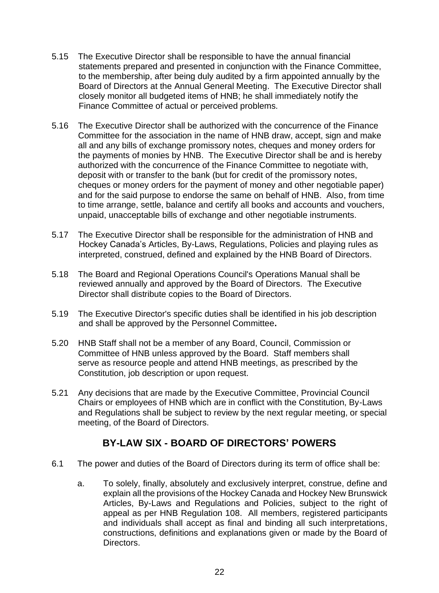- 5.15 The Executive Director shall be responsible to have the annual financial statements prepared and presented in conjunction with the Finance Committee, to the membership, after being duly audited by a firm appointed annually by the Board of Directors at the Annual General Meeting. The Executive Director shall closely monitor all budgeted items of HNB; he shall immediately notify the Finance Committee of actual or perceived problems.
- 5.16 The Executive Director shall be authorized with the concurrence of the Finance Committee for the association in the name of HNB draw, accept, sign and make all and any bills of exchange promissory notes, cheques and money orders for the payments of monies by HNB. The Executive Director shall be and is hereby authorized with the concurrence of the Finance Committee to negotiate with, deposit with or transfer to the bank (but for credit of the promissory notes, cheques or money orders for the payment of money and other negotiable paper) and for the said purpose to endorse the same on behalf of HNB. Also, from time to time arrange, settle, balance and certify all books and accounts and vouchers, unpaid, unacceptable bills of exchange and other negotiable instruments.
- 5.17 The Executive Director shall be responsible for the administration of HNB and Hockey Canada's Articles, By-Laws, Regulations, Policies and playing rules as interpreted, construed, defined and explained by the HNB Board of Directors.
- 5.18 The Board and Regional Operations Council's Operations Manual shall be reviewed annually and approved by the Board of Directors. The Executive Director shall distribute copies to the Board of Directors.
- 5.19 The Executive Director's specific duties shall be identified in his job description and shall be approved by the Personnel Committee**.**
- 5.20 HNB Staff shall not be a member of any Board, Council, Commission or Committee of HNB unless approved by the Board. Staff members shall serve as resource people and attend HNB meetings, as prescribed by the Constitution, job description or upon request.
- 5.21 Any decisions that are made by the Executive Committee, Provincial Council Chairs or employees of HNB which are in conflict with the Constitution, By-Laws and Regulations shall be subject to review by the next regular meeting, or special meeting, of the Board of Directors.

#### **BY-LAW SIX - BOARD OF DIRECTORS' POWERS**

- 6.1 The power and duties of the Board of Directors during its term of office shall be:
	- a. To solely, finally, absolutely and exclusively interpret, construe, define and explain all the provisions of the Hockey Canada and Hockey New Brunswick Articles, By-Laws and Regulations and Policies, subject to the right of appeal as per HNB Regulation 108. All members, registered participants and individuals shall accept as final and binding all such interpretations, constructions, definitions and explanations given or made by the Board of **Directors**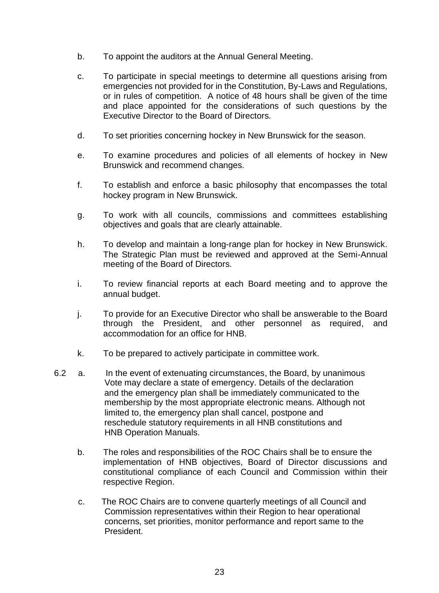- b. To appoint the auditors at the Annual General Meeting.
- c. To participate in special meetings to determine all questions arising from emergencies not provided for in the Constitution, By-Laws and Regulations, or in rules of competition. A notice of 48 hours shall be given of the time and place appointed for the considerations of such questions by the Executive Director to the Board of Directors.
- d. To set priorities concerning hockey in New Brunswick for the season.
- e. To examine procedures and policies of all elements of hockey in New Brunswick and recommend changes.
- f. To establish and enforce a basic philosophy that encompasses the total hockey program in New Brunswick.
- g. To work with all councils, commissions and committees establishing objectives and goals that are clearly attainable.
- h. To develop and maintain a long-range plan for hockey in New Brunswick. The Strategic Plan must be reviewed and approved at the Semi-Annual meeting of the Board of Directors.
- i. To review financial reports at each Board meeting and to approve the annual budget.
- j. To provide for an Executive Director who shall be answerable to the Board through the President, and other personnel as required, and accommodation for an office for HNB.
- k. To be prepared to actively participate in committee work.
- 6.2 a. In the event of extenuating circumstances, the Board, by unanimous Vote may declare a state of emergency. Details of the declaration and the emergency plan shall be immediately communicated to the membership by the most appropriate electronic means. Although not limited to, the emergency plan shall cancel, postpone and reschedule statutory requirements in all HNB constitutions and HNB Operation Manuals.
	- b. The roles and responsibilities of the ROC Chairs shall be to ensure the implementation of HNB objectives, Board of Director discussions and constitutional compliance of each Council and Commission within their respective Region.
	- c. The ROC Chairs are to convene quarterly meetings of all Council and Commission representatives within their Region to hear operational concerns, set priorities, monitor performance and report same to the President.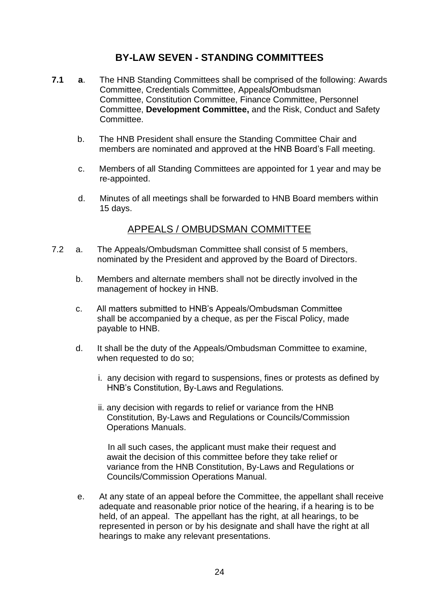#### **BY-LAW SEVEN - STANDING COMMITTEES**

- **7.1 a**. The HNB Standing Committees shall be comprised of the following: Awards Committee, Credentials Committee, Appeals**/**Ombudsman Committee, Constitution Committee, Finance Committee, Personnel Committee, **Development Committee,** and the Risk, Conduct and Safety **Committee.** 
	- b. The HNB President shall ensure the Standing Committee Chair and members are nominated and approved at the HNB Board's Fall meeting.
	- c. Members of all Standing Committees are appointed for 1 year and may be re-appointed.
	- d. Minutes of all meetings shall be forwarded to HNB Board members within 15 days.

#### APPEALS / OMBUDSMAN COMMITTEE

- 7.2 a. The Appeals/Ombudsman Committee shall consist of 5 members, nominated by the President and approved by the Board of Directors.
	- b. Members and alternate members shall not be directly involved in the management of hockey in HNB.
	- c. All matters submitted to HNB's Appeals/Ombudsman Committee shall be accompanied by a cheque, as per the Fiscal Policy, made payable to HNB.
	- d. It shall be the duty of the Appeals/Ombudsman Committee to examine, when requested to do so:
		- i. any decision with regard to suspensions, fines or protests as defined by HNB's Constitution, By-Laws and Regulations.
		- ii. any decision with regards to relief or variance from the HNB Constitution, By-Laws and Regulations or Councils/Commission Operations Manuals.

 In all such cases, the applicant must make their request and await the decision of this committee before they take relief or variance from the HNB Constitution, By-Laws and Regulations or Councils/Commission Operations Manual.

e. At any state of an appeal before the Committee, the appellant shall receive adequate and reasonable prior notice of the hearing, if a hearing is to be held, of an appeal. The appellant has the right, at all hearings, to be represented in person or by his designate and shall have the right at all hearings to make any relevant presentations.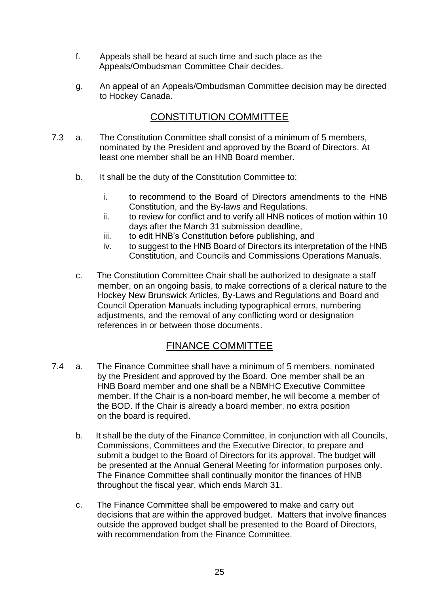- f. Appeals shall be heard at such time and such place as the Appeals/Ombudsman Committee Chair decides.
- g. An appeal of an Appeals/Ombudsman Committee decision may be directed to Hockey Canada.

#### CONSTITUTION COMMITTEE

- 7.3 a. The Constitution Committee shall consist of a minimum of 5 members, nominated by the President and approved by the Board of Directors. At least one member shall be an HNB Board member.
	- b. It shall be the duty of the Constitution Committee to:
		- i. to recommend to the Board of Directors amendments to the HNB Constitution, and the By-laws and Regulations.
		- ii. to review for conflict and to verify all HNB notices of motion within 10 days after the March 31 submission deadline,
		- iii. to edit HNB's Constitution before publishing, and
		- iv. to suggest to the HNB Board of Directors its interpretation of the HNB Constitution, and Councils and Commissions Operations Manuals.
	- c. The Constitution Committee Chair shall be authorized to designate a staff member, on an ongoing basis, to make corrections of a clerical nature to the Hockey New Brunswick Articles, By-Laws and Regulations and Board and Council Operation Manuals including typographical errors, numbering adjustments, and the removal of any conflicting word or designation references in or between those documents.

#### FINANCE COMMITTEE

- 7.4 a. The Finance Committee shall have a minimum of 5 members, nominated by the President and approved by the Board. One member shall be an HNB Board member and one shall be a NBMHC Executive Committee member. If the Chair is a non-board member, he will become a member of the BOD. If the Chair is already a board member, no extra position on the board is required.
	- b. It shall be the duty of the Finance Committee, in conjunction with all Councils, Commissions, Committees and the Executive Director, to prepare and submit a budget to the Board of Directors for its approval. The budget will be presented at the Annual General Meeting for information purposes only. The Finance Committee shall continually monitor the finances of HNB throughout the fiscal year, which ends March 31.
	- c. The Finance Committee shall be empowered to make and carry out decisions that are within the approved budget. Matters that involve finances outside the approved budget shall be presented to the Board of Directors, with recommendation from the Finance Committee.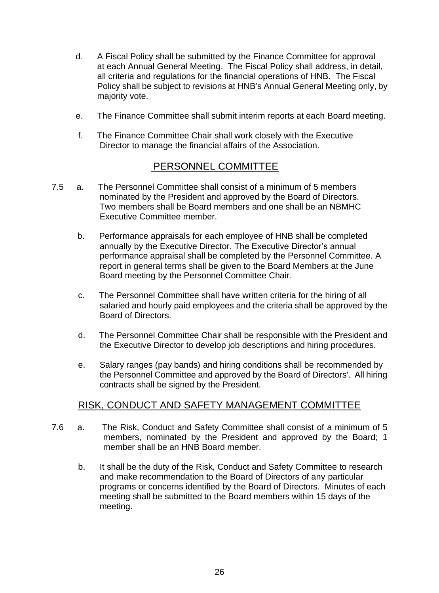- d. A Fiscal Policy shall be submitted by the Finance Committee for approval at each Annual General Meeting. The Fiscal Policy shall address, in detail, all criteria and regulations for the financial operations of HNB. The Fiscal Policy shall be subject to revisions at HNB's Annual General Meeting only, by majority vote.
- e. The Finance Committee shall submit interim reports at each Board meeting.
- f. The Finance Committee Chair shall work closely with the Executive Director to manage the financial affairs of the Association.

#### PERSONNEL COMMITTEE

- 7.5 a. The Personnel Committee shall consist of a minimum of 5 members nominated by the President and approved by the Board of Directors. Two members shall be Board members and one shall be an NBMHC Executive Committee member.
	- b. Performance appraisals for each employee of HNB shall be completed annually by the Executive Director. The Executive Director's annual performance appraisal shall be completed by the Personnel Committee. A report in general terms shall be given to the Board Members at the June Board meeting by the Personnel Committee Chair.
	- c. The Personnel Committee shall have written criteria for the hiring of all salaried and hourly paid employees and the criteria shall be approved by the Board of Directors.
	- d. The Personnel Committee Chair shall be responsible with the President and the Executive Director to develop job descriptions and hiring procedures.
	- e. Salary ranges (pay bands) and hiring conditions shall be recommended by the Personnel Committee and approved by the Board of Directors'. All hiring contracts shall be signed by the President.

#### RISK, CONDUCT AND SAFETY MANAGEMENT COMMITTEE

- 7.6 a. The Risk, Conduct and Safety Committee shall consist of a minimum of 5 members, nominated by the President and approved by the Board; 1 member shall be an HNB Board member.
	- b. It shall be the duty of the Risk, Conduct and Safety Committee to research and make recommendation to the Board of Directors of any particular programs or concerns identified by the Board of Directors. Minutes of each meeting shall be submitted to the Board members within 15 days of the meeting.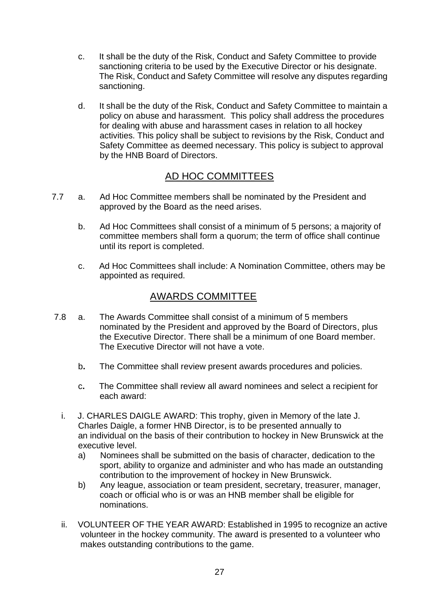- c. It shall be the duty of the Risk, Conduct and Safety Committee to provide sanctioning criteria to be used by the Executive Director or his designate. The Risk, Conduct and Safety Committee will resolve any disputes regarding sanctioning.
- d. It shall be the duty of the Risk, Conduct and Safety Committee to maintain a policy on abuse and harassment. This policy shall address the procedures for dealing with abuse and harassment cases in relation to all hockey activities. This policy shall be subject to revisions by the Risk, Conduct and Safety Committee as deemed necessary. This policy is subject to approval by the HNB Board of Directors.

#### AD HOC COMMITTEES

- 7.7 a. Ad Hoc Committee members shall be nominated by the President and approved by the Board as the need arises.
	- b. Ad Hoc Committees shall consist of a minimum of 5 persons; a majority of committee members shall form a quorum; the term of office shall continue until its report is completed.
	- c. Ad Hoc Committees shall include: A Nomination Committee, others may be appointed as required.

#### AWARDS COMMITTEE

- 7.8 a. The Awards Committee shall consist of a minimum of 5 members nominated by the President and approved by the Board of Directors, plus the Executive Director. There shall be a minimum of one Board member. The Executive Director will not have a vote.
	- b**.** The Committee shall review present awards procedures and policies.
	- c**.** The Committee shall review all award nominees and select a recipient for each award:
	- i. J. CHARLES DAIGLE AWARD: This trophy, given in Memory of the late J. Charles Daigle, a former HNB Director, is to be presented annually to an individual on the basis of their contribution to hockey in New Brunswick at the executive level.
		- a) Nominees shall be submitted on the basis of character, dedication to the sport, ability to organize and administer and who has made an outstanding contribution to the improvement of hockey in New Brunswick.
		- b) Any league, association or team president, secretary, treasurer, manager, coach or official who is or was an HNB member shall be eligible for nominations.
	- ii. VOLUNTEER OF THE YEAR AWARD: Established in 1995 to recognize an active volunteer in the hockey community. The award is presented to a volunteer who makes outstanding contributions to the game.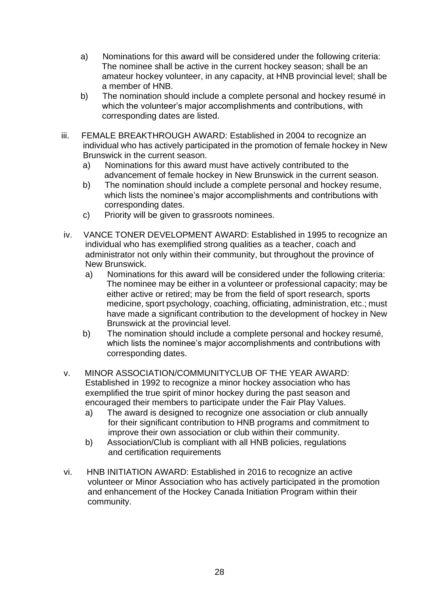- a) Nominations for this award will be considered under the following criteria: The nominee shall be active in the current hockey season; shall be an amateur hockey volunteer, in any capacity, at HNB provincial level; shall be a member of HNB.
- b) The nomination should include a complete personal and hockey resumé in which the volunteer's major accomplishments and contributions, with corresponding dates are listed.
- iii. FEMALE BREAKTHROUGH AWARD: Established in 2004 to recognize an individual who has actively participated in the promotion of female hockey in New Brunswick in the current season.
	- a) Nominations for this award must have actively contributed to the advancement of female hockey in New Brunswick in the current season.
	- b) The nomination should include a complete personal and hockey resume. which lists the nominee's major accomplishments and contributions with corresponding dates.
	- c) Priority will be given to grassroots nominees.
- iv. VANCE TONER DEVELOPMENT AWARD: Established in 1995 to recognize an individual who has exemplified strong qualities as a teacher, coach and administrator not only within their community, but throughout the province of New Brunswick.
	- a) Nominations for this award will be considered under the following criteria: The nominee may be either in a volunteer or professional capacity; may be either active or retired; may be from the field of sport research, sports medicine, sport psychology, coaching, officiating, administration, etc.; must have made a significant contribution to the development of hockey in New Brunswick at the provincial level.
	- b) The nomination should include a complete personal and hockey resumé, which lists the nominee's major accomplishments and contributions with corresponding dates.
- v. MINOR ASSOCIATION/COMMUNITYCLUB OF THE YEAR AWARD: Established in 1992 to recognize a minor hockey association who has exemplified the true spirit of minor hockey during the past season and encouraged their members to participate under the Fair Play Values.
	- a) The award is designed to recognize one association or club annually for their significant contribution to HNB programs and commitment to improve their own association or club within their community.
	- b) Association/Club is compliant with all HNB policies, regulations and certification requirements
- vi. HNB INITIATION AWARD: Established in 2016 to recognize an active volunteer or Minor Association who has actively participated in the promotion and enhancement of the Hockey Canada Initiation Program within their community.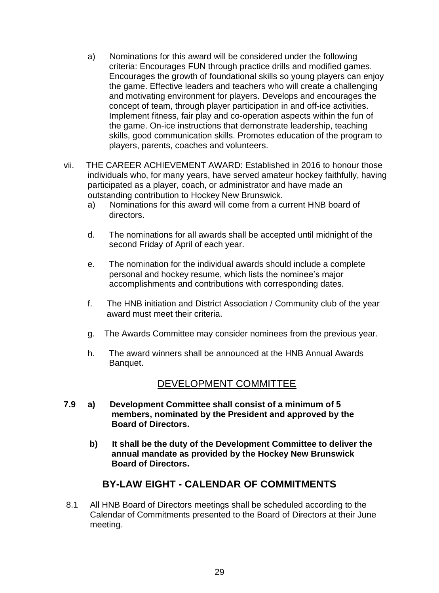- a) Nominations for this award will be considered under the following criteria: Encourages FUN through practice drills and modified games. Encourages the growth of foundational skills so young players can enjoy the game. Effective leaders and teachers who will create a challenging and motivating environment for players. Develops and encourages the concept of team, through player participation in and off-ice activities. Implement fitness, fair play and co-operation aspects within the fun of the game. On-ice instructions that demonstrate leadership, teaching skills, good communication skills. Promotes education of the program to players, parents, coaches and volunteers.
- vii. THE CAREER ACHIEVEMENT AWARD: Established in 2016 to honour those individuals who, for many years, have served amateur hockey faithfully, having participated as a player, coach, or administrator and have made an outstanding contribution to Hockey New Brunswick.
	- a) Nominations for this award will come from a current HNB board of directors.
	- d. The nominations for all awards shall be accepted until midnight of the second Friday of April of each year.
	- e. The nomination for the individual awards should include a complete personal and hockey resume, which lists the nominee's major accomplishments and contributions with corresponding dates.
	- f. The HNB initiation and District Association / Community club of the year award must meet their criteria.
	- g. The Awards Committee may consider nominees from the previous year.
	- h. The award winners shall be announced at the HNB Annual Awards Banquet.

#### DEVELOPMENT COMMITTEE

- **7.9 a) Development Committee shall consist of a minimum of 5 members, nominated by the President and approved by the Board of Directors.** 
	- **b) It shall be the duty of the Development Committee to deliver the annual mandate as provided by the Hockey New Brunswick Board of Directors.**

#### **BY-LAW EIGHT - CALENDAR OF COMMITMENTS**

 8.1 All HNB Board of Directors meetings shall be scheduled according to the Calendar of Commitments presented to the Board of Directors at their June meeting.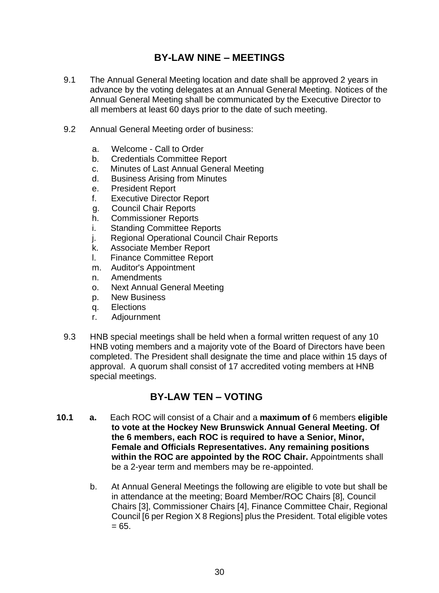#### **BY-LAW NINE – MEETINGS**

- 9.1 The Annual General Meeting location and date shall be approved 2 years in advance by the voting delegates at an Annual General Meeting. Notices of the Annual General Meeting shall be communicated by the Executive Director to all members at least 60 days prior to the date of such meeting.
- 9.2 Annual General Meeting order of business:
	- a. Welcome Call to Order
	- b. Credentials Committee Report
	- c. Minutes of Last Annual General Meeting
	- d. Business Arising from Minutes
	- e. President Report
	- f. Executive Director Report
	- g. Council Chair Reports
	- h. Commissioner Reports
	- i. Standing Committee Reports
	- i. Regional Operational Council Chair Reports
	- k. Associate Member Report
	- l. Finance Committee Report
	- m. Auditor's Appointment<br>n. Amendments
	- Amendments
	- o. Next Annual General Meeting
	- p. New Business
	- q. Elections
	- r. Adjournment
- 9.3 HNB special meetings shall be held when a formal written request of any 10 HNB voting members and a majority vote of the Board of Directors have been completed. The President shall designate the time and place within 15 days of approval. A quorum shall consist of 17 accredited voting members at HNB special meetings.

#### **BY-LAW TEN – VOTING**

- **10.1 a.** Each ROC will consist of a Chair and a **maximum of** 6 members **eligible to vote at the Hockey New Brunswick Annual General Meeting. Of the 6 members, each ROC is required to have a Senior, Minor, Female and Officials Representatives. Any remaining positions within the ROC are appointed by the ROC Chair.** Appointments shall be a 2-year term and members may be re-appointed.
	- b. At Annual General Meetings the following are eligible to vote but shall be in attendance at the meeting; Board Member/ROC Chairs [8], Council Chairs [3], Commissioner Chairs [4], Finance Committee Chair, Regional Council [6 per Region X 8 Regions] plus the President. Total eligible votes  $= 65.$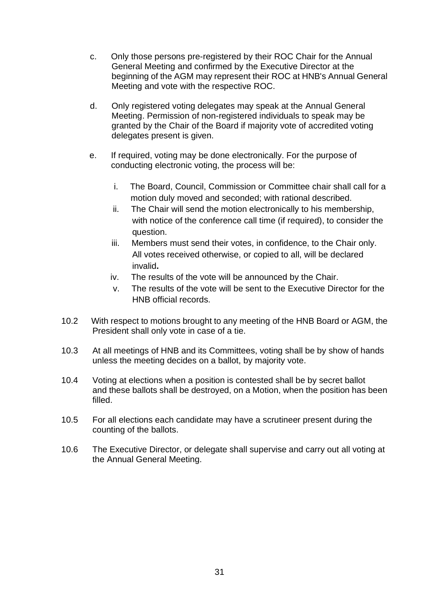- c. Only those persons pre-registered by their ROC Chair for the Annual General Meeting and confirmed by the Executive Director at the beginning of the AGM may represent their ROC at HNB's Annual General Meeting and vote with the respective ROC.
- d. Only registered voting delegates may speak at the Annual General Meeting. Permission of non-registered individuals to speak may be granted by the Chair of the Board if majority vote of accredited voting delegates present is given.
- e. If required, voting may be done electronically. For the purpose of conducting electronic voting, the process will be:
	- i. The Board, Council, Commission or Committee chair shall call for a motion duly moved and seconded; with rational described.
	- ii. The Chair will send the motion electronically to his membership, with notice of the conference call time (if required), to consider the question.
	- iii. Members must send their votes, in confidence, to the Chair only. All votes received otherwise, or copied to all, will be declared invalid**.**
	- iv. The results of the vote will be announced by the Chair.
	- v. The results of the vote will be sent to the Executive Director for the HNB official records.
- 10.2 With respect to motions brought to any meeting of the HNB Board or AGM, the President shall only vote in case of a tie.
- 10.3 At all meetings of HNB and its Committees, voting shall be by show of hands unless the meeting decides on a ballot, by majority vote.
- 10.4 Voting at elections when a position is contested shall be by secret ballot and these ballots shall be destroyed, on a Motion, when the position has been filled.
- 10.5 For all elections each candidate may have a scrutineer present during the counting of the ballots.
- 10.6 The Executive Director, or delegate shall supervise and carry out all voting at the Annual General Meeting.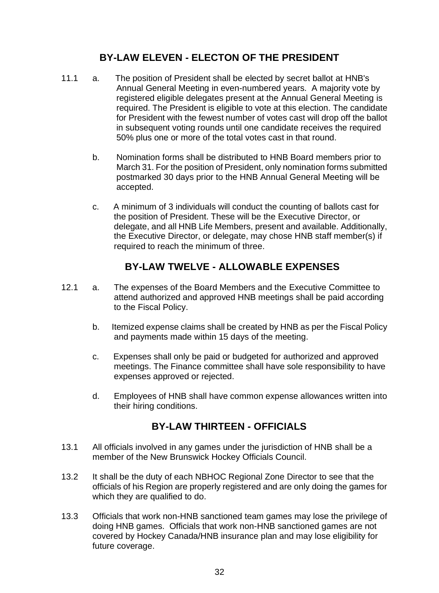#### **BY-LAW ELEVEN - ELECTON OF THE PRESIDENT**

- 11.1 a. The position of President shall be elected by secret ballot at HNB's Annual General Meeting in even-numbered years. A majority vote by registered eligible delegates present at the Annual General Meeting is required. The President is eligible to vote at this election. The candidate for President with the fewest number of votes cast will drop off the ballot in subsequent voting rounds until one candidate receives the required 50% plus one or more of the total votes cast in that round.
	- b. Nomination forms shall be distributed to HNB Board members prior to March 31. For the position of President, only nomination forms submitted postmarked 30 days prior to the HNB Annual General Meeting will be accepted.
	- c. A minimum of 3 individuals will conduct the counting of ballots cast for the position of President. These will be the Executive Director, or delegate, and all HNB Life Members, present and available. Additionally, the Executive Director, or delegate, may chose HNB staff member(s) if required to reach the minimum of three.

#### **BY-LAW TWELVE - ALLOWABLE EXPENSES**

- 12.1 a. The expenses of the Board Members and the Executive Committee to attend authorized and approved HNB meetings shall be paid according to the Fiscal Policy.
	- b. Itemized expense claims shall be created by HNB as per the Fiscal Policy and payments made within 15 days of the meeting.
	- c. Expenses shall only be paid or budgeted for authorized and approved meetings. The Finance committee shall have sole responsibility to have expenses approved or rejected.
	- d. Employees of HNB shall have common expense allowances written into their hiring conditions.

#### **BY-LAW THIRTEEN - OFFICIALS**

- 13.1 All officials involved in any games under the jurisdiction of HNB shall be a member of the New Brunswick Hockey Officials Council.
- 13.2 It shall be the duty of each NBHOC Regional Zone Director to see that the officials of his Region are properly registered and are only doing the games for which they are qualified to do.
- 13.3 Officials that work non-HNB sanctioned team games may lose the privilege of doing HNB games. Officials that work non-HNB sanctioned games are not covered by Hockey Canada/HNB insurance plan and may lose eligibility for future coverage.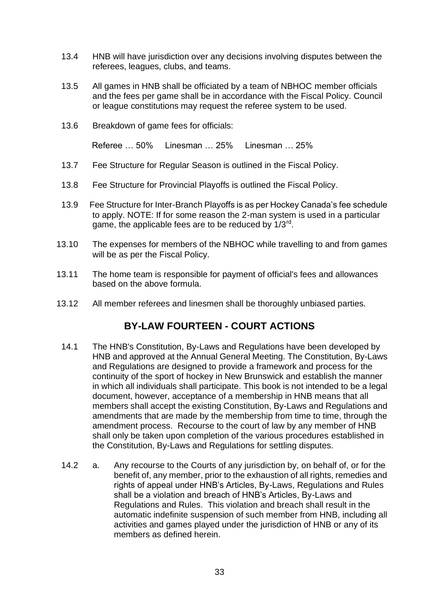- 13.4 HNB will have jurisdiction over any decisions involving disputes between the referees, leagues, clubs, and teams.
- 13.5 All games in HNB shall be officiated by a team of NBHOC member officials and the fees per game shall be in accordance with the Fiscal Policy. Council or league constitutions may request the referee system to be used.
- 13.6 Breakdown of game fees for officials:

Referee … 50% Linesman … 25% Linesman … 25%

- 13.7 Fee Structure for Regular Season is outlined in the Fiscal Policy.
- 13.8 Fee Structure for Provincial Playoffs is outlined the Fiscal Policy.
- 13.9 Fee Structure for Inter-Branch Playoffs is as per Hockey Canada's fee schedule to apply. NOTE: If for some reason the 2-man system is used in a particular game, the applicable fees are to be reduced by 1/3rd.
- 13.10 The expenses for members of the NBHOC while travelling to and from games will be as per the Fiscal Policy.
- 13.11 The home team is responsible for payment of official's fees and allowances based on the above formula.
- 13.12 All member referees and linesmen shall be thoroughly unbiased parties.

#### **BY-LAW FOURTEEN - COURT ACTIONS**

- 14.1 The HNB's Constitution, By-Laws and Regulations have been developed by HNB and approved at the Annual General Meeting. The Constitution, By-Laws and Regulations are designed to provide a framework and process for the continuity of the sport of hockey in New Brunswick and establish the manner in which all individuals shall participate. This book is not intended to be a legal document, however, acceptance of a membership in HNB means that all members shall accept the existing Constitution, By-Laws and Regulations and amendments that are made by the membership from time to time, through the amendment process. Recourse to the court of law by any member of HNB shall only be taken upon completion of the various procedures established in the Constitution, By-Laws and Regulations for settling disputes.
- 14.2 a. Any recourse to the Courts of any jurisdiction by, on behalf of, or for the benefit of, any member, prior to the exhaustion of all rights, remedies and rights of appeal under HNB's Articles, By-Laws, Regulations and Rules shall be a violation and breach of HNB's Articles, By-Laws and Regulations and Rules. This violation and breach shall result in the automatic indefinite suspension of such member from HNB, including all activities and games played under the jurisdiction of HNB or any of its members as defined herein.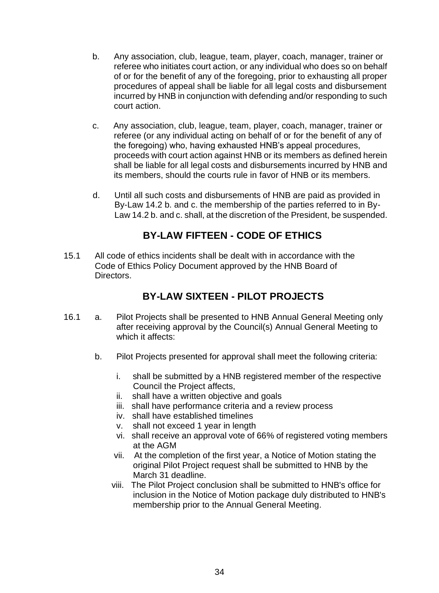- b. Any association, club, league, team, player, coach, manager, trainer or referee who initiates court action, or any individual who does so on behalf of or for the benefit of any of the foregoing, prior to exhausting all proper procedures of appeal shall be liable for all legal costs and disbursement incurred by HNB in conjunction with defending and/or responding to such court action.
- c. Any association, club, league, team, player, coach, manager, trainer or referee (or any individual acting on behalf of or for the benefit of any of the foregoing) who, having exhausted HNB's appeal procedures. proceeds with court action against HNB or its members as defined herein shall be liable for all legal costs and disbursements incurred by HNB and its members, should the courts rule in favor of HNB or its members.
- d. Until all such costs and disbursements of HNB are paid as provided in By-Law 14.2 b. and c. the membership of the parties referred to in By- Law 14.2 b. and c. shall, at the discretion of the President, be suspended.

#### **BY-LAW FIFTEEN - CODE OF ETHICS**

 15.1 All code of ethics incidents shall be dealt with in accordance with the Code of Ethics Policy Document approved by the HNB Board of **Directors** 

#### **BY-LAW SIXTEEN - PILOT PROJECTS**

- 16.1 a. Pilot Projects shall be presented to HNB Annual General Meeting only after receiving approval by the Council(s) Annual General Meeting to which it affects:
	- b. Pilot Projects presented for approval shall meet the following criteria:
		- i. shall be submitted by a HNB registered member of the respective Council the Project affects,
		- ii. shall have a written objective and goals
		- iii. shall have performance criteria and a review process
		- iv. shall have established timelines
		- v. shall not exceed 1 year in length
		- vi. shall receive an approval vote of 66% of registered voting members at the AGM
		- vii. At the completion of the first year, a Notice of Motion stating the original Pilot Project request shall be submitted to HNB by the March 31 deadline.
		- viii. The Pilot Project conclusion shall be submitted to HNB's office for inclusion in the Notice of Motion package duly distributed to HNB's membership prior to the Annual General Meeting.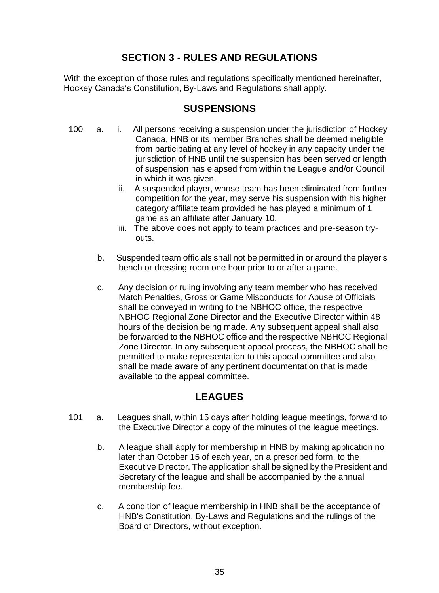#### **SECTION 3 - RULES AND REGULATIONS**

 With the exception of those rules and regulations specifically mentioned hereinafter, Hockey Canada's Constitution, By-Laws and Regulations shall apply.

#### **SUSPENSIONS**

- 100 a. i. All persons receiving a suspension under the jurisdiction of Hockey Canada, HNB or its member Branches shall be deemed ineligible from participating at any level of hockey in any capacity under the jurisdiction of HNB until the suspension has been served or length of suspension has elapsed from within the League and/or Council in which it was given.
	- ii. A suspended player, whose team has been eliminated from further competition for the year, may serve his suspension with his higher category affiliate team provided he has played a minimum of 1 game as an affiliate after January 10.
	- iii. The above does not apply to team practices and pre-season try outs.
	- b. Suspended team officials shall not be permitted in or around the player's bench or dressing room one hour prior to or after a game.
	- c. Any decision or ruling involving any team member who has received Match Penalties, Gross or Game Misconducts for Abuse of Officials shall be conveyed in writing to the NBHOC office, the respective NBHOC Regional Zone Director and the Executive Director within 48 hours of the decision being made. Any subsequent appeal shall also be forwarded to the NBHOC office and the respective NBHOC Regional Zone Director. In any subsequent appeal process, the NBHOC shall be permitted to make representation to this appeal committee and also shall be made aware of any pertinent documentation that is made available to the appeal committee.

#### **LEAGUES**

- 101 a. Leagues shall, within 15 days after holding league meetings, forward to the Executive Director a copy of the minutes of the league meetings.
	- b. A league shall apply for membership in HNB by making application no later than October 15 of each year, on a prescribed form, to the Executive Director. The application shall be signed by the President and Secretary of the league and shall be accompanied by the annual membership fee.
	- c. A condition of league membership in HNB shall be the acceptance of HNB's Constitution, By-Laws and Regulations and the rulings of the Board of Directors, without exception.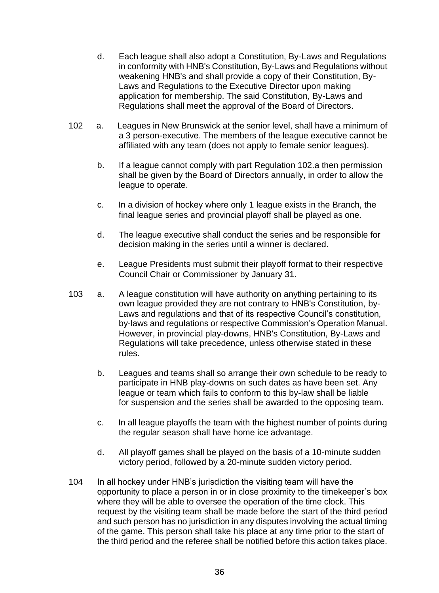- d. Each league shall also adopt a Constitution, By-Laws and Regulations in conformity with HNB's Constitution, By-Laws and Regulations without weakening HNB's and shall provide a copy of their Constitution, By- Laws and Regulations to the Executive Director upon making application for membership. The said Constitution, By-Laws and Regulations shall meet the approval of the Board of Directors.
- 102 a. Leagues in New Brunswick at the senior level, shall have a minimum of a 3 person-executive. The members of the league executive cannot be affiliated with any team (does not apply to female senior leagues).
	- b. If a league cannot comply with part Regulation 102.a then permission shall be given by the Board of Directors annually, in order to allow the league to operate.
	- c. In a division of hockey where only 1 league exists in the Branch, the final league series and provincial playoff shall be played as one.
	- d. The league executive shall conduct the series and be responsible for decision making in the series until a winner is declared.
	- e. League Presidents must submit their playoff format to their respective Council Chair or Commissioner by January 31.
- 103 a. A league constitution will have authority on anything pertaining to its own league provided they are not contrary to HNB's Constitution, by- Laws and regulations and that of its respective Council's constitution, by-laws and regulations or respective Commission's Operation Manual. However, in provincial play-downs, HNB's Constitution, By-Laws and Regulations will take precedence, unless otherwise stated in these rules.
	- b. Leagues and teams shall so arrange their own schedule to be ready to participate in HNB play-downs on such dates as have been set. Any league or team which fails to conform to this by-law shall be liable for suspension and the series shall be awarded to the opposing team.
	- c. In all league playoffs the team with the highest number of points during the regular season shall have home ice advantage.
	- d. All playoff games shall be played on the basis of a 10-minute sudden victory period, followed by a 20-minute sudden victory period.
- 104 In all hockey under HNB's jurisdiction the visiting team will have the opportunity to place a person in or in close proximity to the timekeeper's box where they will be able to oversee the operation of the time clock. This request by the visiting team shall be made before the start of the third period and such person has no jurisdiction in any disputes involving the actual timing of the game. This person shall take his place at any time prior to the start of the third period and the referee shall be notified before this action takes place.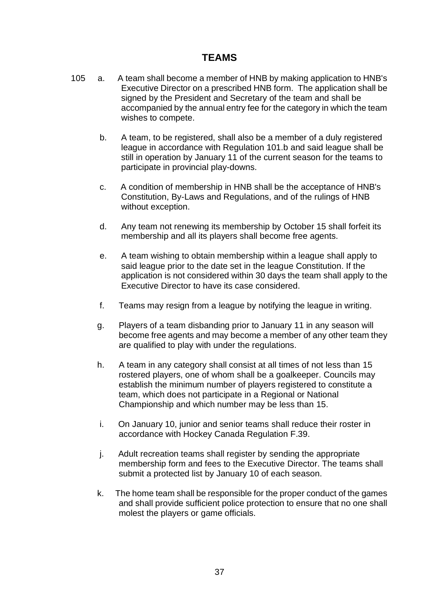#### **TEAMS**

- 105 a. A team shall become a member of HNB by making application to HNB's Executive Director on a prescribed HNB form. The application shall be signed by the President and Secretary of the team and shall be accompanied by the annual entry fee for the category in which the team wishes to compete.
	- b. A team, to be registered, shall also be a member of a duly registered league in accordance with Regulation 101.b and said league shall be still in operation by January 11 of the current season for the teams to participate in provincial play-downs.
	- c. A condition of membership in HNB shall be the acceptance of HNB's Constitution, By-Laws and Regulations, and of the rulings of HNB without exception.
	- d. Any team not renewing its membership by October 15 shall forfeit its membership and all its players shall become free agents.
	- e. A team wishing to obtain membership within a league shall apply to said league prior to the date set in the league Constitution. If the application is not considered within 30 days the team shall apply to the Executive Director to have its case considered.
	- f. Teams may resign from a league by notifying the league in writing.
	- g. Players of a team disbanding prior to January 11 in any season will become free agents and may become a member of any other team they are qualified to play with under the regulations.
	- h. A team in any category shall consist at all times of not less than 15 rostered players, one of whom shall be a goalkeeper. Councils may establish the minimum number of players registered to constitute a team, which does not participate in a Regional or National Championship and which number may be less than 15.
	- i. On January 10, junior and senior teams shall reduce their roster in accordance with Hockey Canada Regulation F.39.
	- j. Adult recreation teams shall register by sending the appropriate membership form and fees to the Executive Director. The teams shall submit a protected list by January 10 of each season.
	- k. The home team shall be responsible for the proper conduct of the games and shall provide sufficient police protection to ensure that no one shall molest the players or game officials.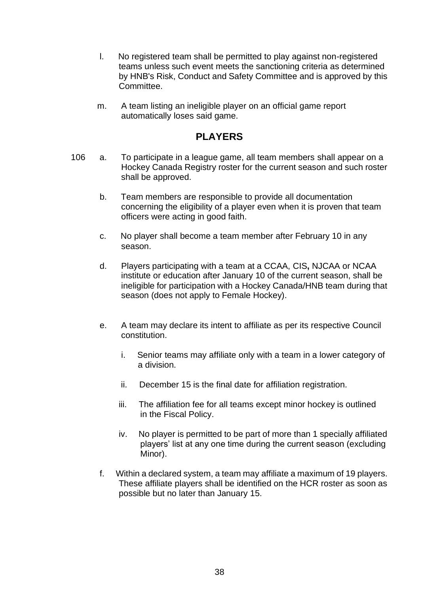- l. No registered team shall be permitted to play against non-registered teams unless such event meets the sanctioning criteria as determined by HNB's Risk, Conduct and Safety Committee and is approved by this Committee.
- m. A team listing an ineligible player on an official game report automatically loses said game.

#### **PLAYERS**

- 106 a. To participate in a league game, all team members shall appear on a Hockey Canada Registry roster for the current season and such roster shall be approved.
	- b. Team members are responsible to provide all documentation concerning the eligibility of a player even when it is proven that team officers were acting in good faith.
	- c. No player shall become a team member after February 10 in any season.
	- d. Players participating with a team at a CCAA, CIS**,** NJCAA or NCAA institute or education after January 10 of the current season, shall be ineligible for participation with a Hockey Canada/HNB team during that season (does not apply to Female Hockey).
	- e. A team may declare its intent to affiliate as per its respective Council constitution.
		- i. Senior teams may affiliate only with a team in a lower category of a division.
		- ii. December 15 is the final date for affiliation registration.
		- iii. The affiliation fee for all teams except minor hockey is outlined in the Fiscal Policy.
		- iv. No player is permitted to be part of more than 1 specially affiliated players' list at any one time during the current season (excluding Minor).
	- f. Within a declared system, a team may affiliate a maximum of 19 players. These affiliate players shall be identified on the HCR roster as soon as possible but no later than January 15.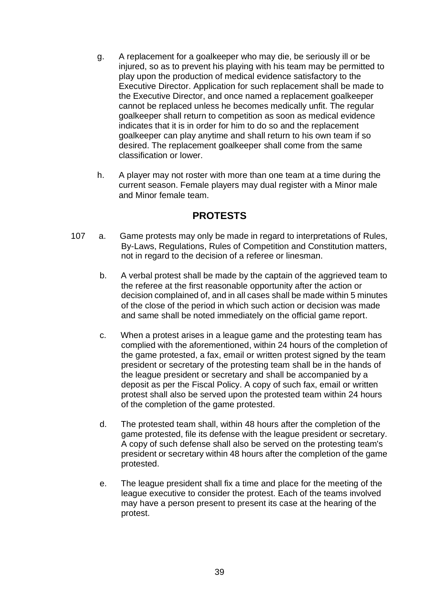- g. A replacement for a goalkeeper who may die, be seriously ill or be injured, so as to prevent his playing with his team may be permitted to play upon the production of medical evidence satisfactory to the Executive Director. Application for such replacement shall be made to the Executive Director, and once named a replacement goalkeeper cannot be replaced unless he becomes medically unfit. The regular goalkeeper shall return to competition as soon as medical evidence indicates that it is in order for him to do so and the replacement goalkeeper can play anytime and shall return to his own team if so desired. The replacement goalkeeper shall come from the same classification or lower.
- h. A player may not roster with more than one team at a time during the current season. Female players may dual register with a Minor male and Minor female team.

#### **PROTESTS**

- 107 a. Game protests may only be made in regard to interpretations of Rules, By-Laws, Regulations, Rules of Competition and Constitution matters, not in regard to the decision of a referee or linesman.
	- b. A verbal protest shall be made by the captain of the aggrieved team to the referee at the first reasonable opportunity after the action or decision complained of, and in all cases shall be made within 5 minutes of the close of the period in which such action or decision was made and same shall be noted immediately on the official game report.
	- c. When a protest arises in a league game and the protesting team has complied with the aforementioned, within 24 hours of the completion of the game protested, a fax, email or written protest signed by the team president or secretary of the protesting team shall be in the hands of the league president or secretary and shall be accompanied by a deposit as per the Fiscal Policy. A copy of such fax, email or written protest shall also be served upon the protested team within 24 hours of the completion of the game protested.
	- d. The protested team shall, within 48 hours after the completion of the game protested, file its defense with the league president or secretary. A copy of such defense shall also be served on the protesting team's president or secretary within 48 hours after the completion of the game protested.
	- e. The league president shall fix a time and place for the meeting of the league executive to consider the protest. Each of the teams involved may have a person present to present its case at the hearing of the protest.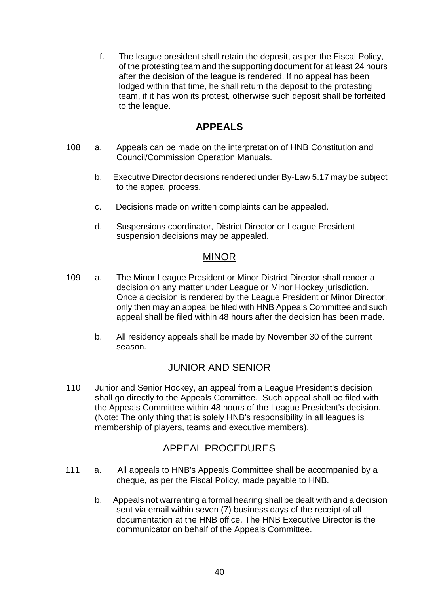f. The league president shall retain the deposit, as per the Fiscal Policy, of the protesting team and the supporting document for at least 24 hours after the decision of the league is rendered. If no appeal has been lodged within that time, he shall return the deposit to the protesting team, if it has won its protest, otherwise such deposit shall be forfeited to the league.

#### **APPEALS**

- 108 a. Appeals can be made on the interpretation of HNB Constitution and Council/Commission Operation Manuals.
	- b. Executive Director decisions rendered under By-Law 5.17 may be subject to the appeal process.
	- c. Decisions made on written complaints can be appealed.
	- d. Suspensions coordinator, District Director or League President suspension decisions may be appealed.

#### MINOR

- 109 a. The Minor League President or Minor District Director shall render a decision on any matter under League or Minor Hockey jurisdiction. Once a decision is rendered by the League President or Minor Director, only then may an appeal be filed with HNB Appeals Committee and such appeal shall be filed within 48 hours after the decision has been made.
	- b. All residency appeals shall be made by November 30 of the current season.

#### JUNIOR AND SENIOR

 110 Junior and Senior Hockey, an appeal from a League President's decision shall go directly to the Appeals Committee. Such appeal shall be filed with the Appeals Committee within 48 hours of the League President's decision. (Note: The only thing that is solely HNB's responsibility in all leagues is membership of players, teams and executive members).

#### APPEAL PROCEDURES

- 111 a. All appeals to HNB's Appeals Committee shall be accompanied by a cheque, as per the Fiscal Policy, made payable to HNB.
	- b. Appeals not warranting a formal hearing shall be dealt with and a decision sent via email within seven (7) business days of the receipt of all documentation at the HNB office. The HNB Executive Director is the communicator on behalf of the Appeals Committee.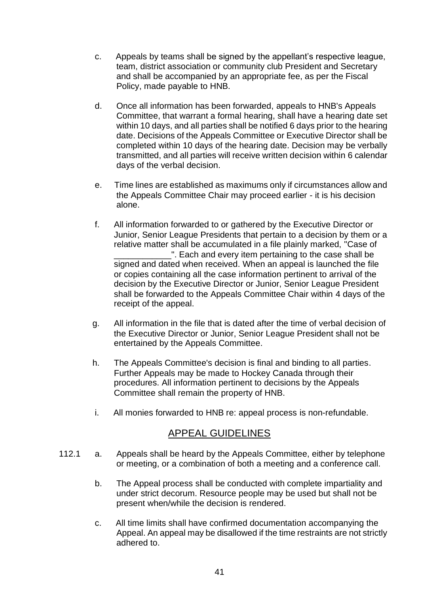- c. Appeals by teams shall be signed by the appellant's respective league, team, district association or community club President and Secretary and shall be accompanied by an appropriate fee, as per the Fiscal Policy, made payable to HNB.
- d. Once all information has been forwarded, appeals to HNB's Appeals Committee, that warrant a formal hearing, shall have a hearing date set within 10 days, and all parties shall be notified 6 days prior to the hearing date. Decisions of the Appeals Committee or Executive Director shall be completed within 10 days of the hearing date. Decision may be verbally transmitted, and all parties will receive written decision within 6 calendar days of the verbal decision.
- e. Time lines are established as maximums only if circumstances allow and the Appeals Committee Chair may proceed earlier - it is his decision alone.
- f. All information forwarded to or gathered by the Executive Director or Junior, Senior League Presidents that pertain to a decision by them or a relative matter shall be accumulated in a file plainly marked, "Case of \_\_\_\_\_\_\_\_\_\_\_\_". Each and every item pertaining to the case shall be signed and dated when received. When an appeal is launched the file or copies containing all the case information pertinent to arrival of the decision by the Executive Director or Junior, Senior League President shall be forwarded to the Appeals Committee Chair within 4 days of the receipt of the appeal.
- g. All information in the file that is dated after the time of verbal decision of the Executive Director or Junior, Senior League President shall not be entertained by the Appeals Committee.
- h. The Appeals Committee's decision is final and binding to all parties. Further Appeals may be made to Hockey Canada through their procedures. All information pertinent to decisions by the Appeals Committee shall remain the property of HNB.
- i. All monies forwarded to HNB re: appeal process is non-refundable.

#### APPEAL GUIDELINES

- 112.1 a. Appeals shall be heard by the Appeals Committee, either by telephone or meeting, or a combination of both a meeting and a conference call.
	- b. The Appeal process shall be conducted with complete impartiality and under strict decorum. Resource people may be used but shall not be present when/while the decision is rendered.
	- c. All time limits shall have confirmed documentation accompanying the Appeal. An appeal may be disallowed if the time restraints are not strictly adhered to.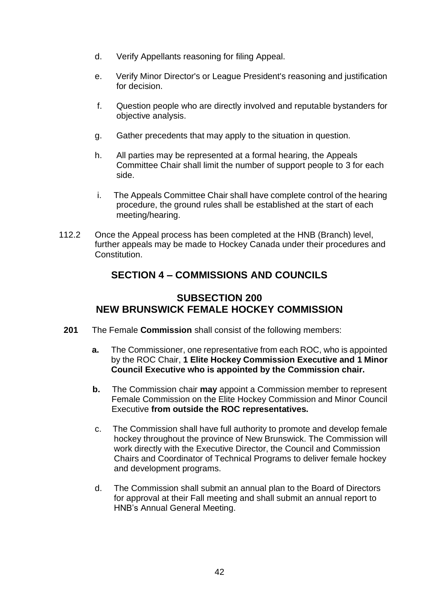- d. Verify Appellants reasoning for filing Appeal.
- e. Verify Minor Director's or League President's reasoning and justification for decision.
- f. Question people who are directly involved and reputable bystanders for objective analysis.
- g. Gather precedents that may apply to the situation in question.
- h. All parties may be represented at a formal hearing, the Appeals Committee Chair shall limit the number of support people to 3 for each side.
- i. The Appeals Committee Chair shall have complete control of the hearing procedure, the ground rules shall be established at the start of each meeting/hearing.
- 112.2 Once the Appeal process has been completed at the HNB (Branch) level, further appeals may be made to Hockey Canada under their procedures and Constitution.

#### **SECTION 4 – COMMISSIONS AND COUNCILS**

#### **SUBSECTION 200 NEW BRUNSWICK FEMALE HOCKEY COMMISSION**

- **201** The Female **Commission** shall consist of the following members:
	- **a.** The Commissioner, one representative from each ROC, who is appointed by the ROC Chair, **1 Elite Hockey Commission Executive and 1 Minor Council Executive who is appointed by the Commission chair.**
	- **b.** The Commission chair **may** appoint a Commission member to represent Female Commission on the Elite Hockey Commission and Minor Council Executive **from outside the ROC representatives.**
	- c. The Commission shall have full authority to promote and develop female hockey throughout the province of New Brunswick. The Commission will work directly with the Executive Director, the Council and Commission Chairs and Coordinator of Technical Programs to deliver female hockey and development programs.
	- d. The Commission shall submit an annual plan to the Board of Directors for approval at their Fall meeting and shall submit an annual report to HNB's Annual General Meeting.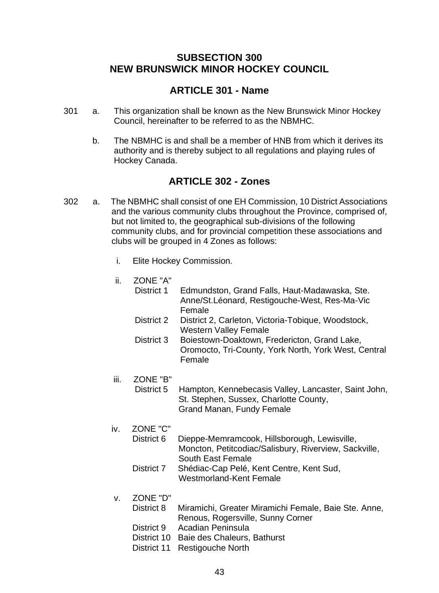#### **SUBSECTION 300 NEW BRUNSWICK MINOR HOCKEY COUNCIL**

#### **ARTICLE 301 - Name**

- 301 a. This organization shall be known as the New Brunswick Minor Hockey Council, hereinafter to be referred to as the NBMHC.
	- b. The NBMHC is and shall be a member of HNB from which it derives its authority and is thereby subject to all regulations and playing rules of Hockey Canada.

#### **ARTICLE 302 - Zones**

- 302 a. The NBMHC shall consist of one EH Commission, 10 District Associations and the various community clubs throughout the Province, comprised of, but not limited to, the geographical sub-divisions of the following community clubs, and for provincial competition these associations and clubs will be grouped in 4 Zones as follows:
	- i. Elite Hockey Commission.
	- ii. ZONE "A"
		- Edmundston, Grand Falls, Haut-Madawaska, Ste. Anne/St.Léonard, Restigouche-West, Res-Ma-Vic Female<br>: District 2 District
		- District 2, Carleton, Victoria-Tobique, Woodstock, Western Valley Female<br>District 3 Bojestown-Doaktown F
		- Boiestown-Doaktown, Fredericton, Grand Lake, Oromocto, Tri-County, York North, York West, Central Female

# iii. ZONE "B"

Hampton, Kennebecasis Valley, Lancaster, Saint John, St. Stephen, Sussex, Charlotte County, Grand Manan, Fundy Female

# iv. ZONE "C"

- Dieppe-Memramcook, Hillsborough, Lewisville, Moncton, Petitcodiac/Salisbury, Riverview, Sackville, South East Female<br>District 7 Shédiac-Can Pelé Shédiac-Cap Pelé, Kent Centre, Kent Sud,
	- Westmorland-Kent Female
- v. ZONE "D"
	- Miramichi, Greater Miramichi Female, Baie Ste. Anne, Renous, Rogersville, Sunny Corner<br>District 9 Acadian Peninsula Acadian Peninsula
		-
	- District 10 Baie des Chaleurs, Bathurst
	- District 11 Restigouche North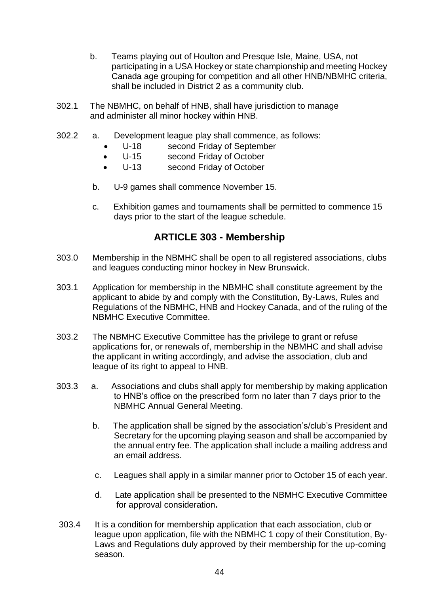- b. Teams playing out of Houlton and Presque Isle, Maine, USA, not participating in a USA Hockey or state championship and meeting Hockey Canada age grouping for competition and all other HNB/NBMHC criteria, shall be included in District 2 as a community club.
- 302.1 The NBMHC, on behalf of HNB, shall have jurisdiction to manage and administer all minor hockey within HNB.
- 302.2 a. Development league play shall commence, as follows:
	- U-18 second Friday of September
	- U-15 second Friday of October<br>• U-13 second Friday of October
	- second Friday of October
	- b. U-9 games shall commence November 15.
	- c. Exhibition games and tournaments shall be permitted to commence 15 days prior to the start of the league schedule.

#### **ARTICLE 303 - Membership**

- 303.0 Membership in the NBMHC shall be open to all registered associations, clubs and leagues conducting minor hockey in New Brunswick.
- 303.1 Application for membership in the NBMHC shall constitute agreement by the applicant to abide by and comply with the Constitution, By-Laws, Rules and Regulations of the NBMHC, HNB and Hockey Canada, and of the ruling of the NBMHC Executive Committee.
- 303.2 The NBMHC Executive Committee has the privilege to grant or refuse applications for, or renewals of, membership in the NBMHC and shall advise the applicant in writing accordingly, and advise the association, club and league of its right to appeal to HNB.
- 303.3 a. Associations and clubs shall apply for membership by making application to HNB's office on the prescribed form no later than 7 days prior to the NBMHC Annual General Meeting.
	- b. The application shall be signed by the association's/club's President and Secretary for the upcoming playing season and shall be accompanied by the annual entry fee. The application shall include a mailing address and an email address.
	- c. Leagues shall apply in a similar manner prior to October 15 of each year.
	- d. Late application shall be presented to the NBMHC Executive Committee for approval consideration**.**
- 303.4 It is a condition for membership application that each association, club or league upon application, file with the NBMHC 1 copy of their Constitution, By- Laws and Regulations duly approved by their membership for the up-coming season.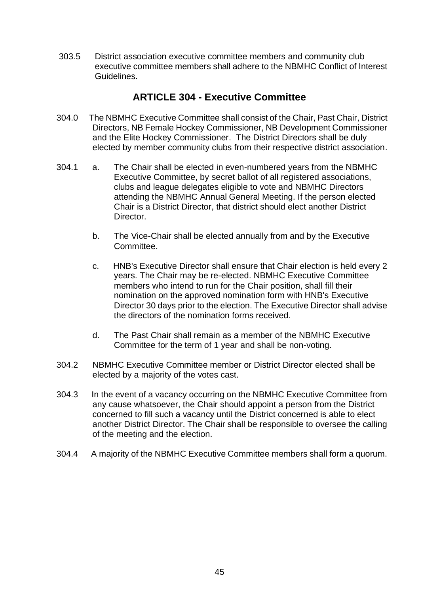303.5 District association executive committee members and community club executive committee members shall adhere to the NBMHC Conflict of Interest Guidelines.

#### **ARTICLE 304 - Executive Committee**

- 304.0 The NBMHC Executive Committee shall consist of the Chair, Past Chair, District Directors, NB Female Hockey Commissioner, NB Development Commissioner and the Elite Hockey Commissioner. The District Directors shall be duly elected by member community clubs from their respective district association.
- 304.1 a. The Chair shall be elected in even-numbered years from the NBMHC Executive Committee, by secret ballot of all registered associations, clubs and league delegates eligible to vote and NBMHC Directors attending the NBMHC Annual General Meeting. If the person elected Chair is a District Director, that district should elect another District **Director** 
	- b. The Vice-Chair shall be elected annually from and by the Executive **Committee.**
	- c. HNB's Executive Director shall ensure that Chair election is held every 2 years. The Chair may be re-elected. NBMHC Executive Committee members who intend to run for the Chair position, shall fill their nomination on the approved nomination form with HNB's Executive Director 30 days prior to the election. The Executive Director shall advise the directors of the nomination forms received.
	- d. The Past Chair shall remain as a member of the NBMHC Executive Committee for the term of 1 year and shall be non-voting.
- 304.2 NBMHC Executive Committee member or District Director elected shall be elected by a majority of the votes cast.
- 304.3 In the event of a vacancy occurring on the NBMHC Executive Committee from any cause whatsoever, the Chair should appoint a person from the District concerned to fill such a vacancy until the District concerned is able to elect another District Director. The Chair shall be responsible to oversee the calling of the meeting and the election.
- 304.4 A majority of the NBMHC Executive Committee members shall form a quorum.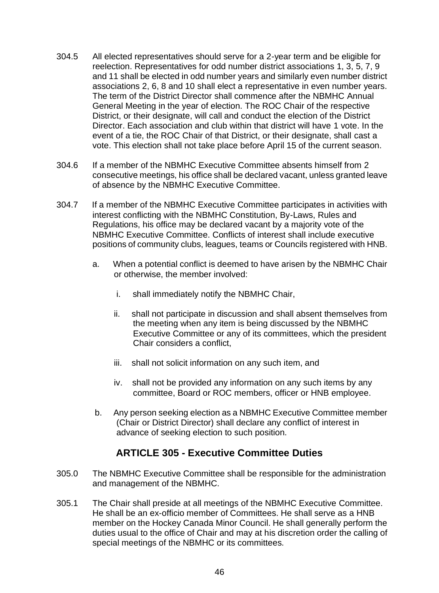- 304.5 All elected representatives should serve for a 2-year term and be eligible for reelection. Representatives for odd number district associations 1, 3, 5, 7, 9 and 11 shall be elected in odd number years and similarly even number district associations 2, 6, 8 and 10 shall elect a representative in even number years. The term of the District Director shall commence after the NBMHC Annual General Meeting in the year of election. The ROC Chair of the respective District, or their designate, will call and conduct the election of the District Director. Each association and club within that district will have 1 vote. In the event of a tie, the ROC Chair of that District, or their designate, shall cast a vote. This election shall not take place before April 15 of the current season.
- 304.6 If a member of the NBMHC Executive Committee absents himself from 2 consecutive meetings, his office shall be declared vacant, unless granted leave of absence by the NBMHC Executive Committee.
- 304.7 If a member of the NBMHC Executive Committee participates in activities with interest conflicting with the NBMHC Constitution, By-Laws, Rules and Regulations, his office may be declared vacant by a majority vote of the NBMHC Executive Committee. Conflicts of interest shall include executive positions of community clubs, leagues, teams or Councils registered with HNB.
	- a. When a potential conflict is deemed to have arisen by the NBMHC Chair or otherwise, the member involved:
		- i. shall immediately notify the NBMHC Chair,
		- ii. shall not participate in discussion and shall absent themselves from the meeting when any item is being discussed by the NBMHC Executive Committee or any of its committees, which the president Chair considers a conflict,
		- iii. shall not solicit information on any such item, and
		- iv. shall not be provided any information on any such items by any committee, Board or ROC members, officer or HNB employee.
	- b. Any person seeking election as a NBMHC Executive Committee member (Chair or District Director) shall declare any conflict of interest in advance of seeking election to such position.

#### **ARTICLE 305 - Executive Committee Duties**

- 305.0 The NBMHC Executive Committee shall be responsible for the administration and management of the NBMHC.
- 305.1 The Chair shall preside at all meetings of the NBMHC Executive Committee. He shall be an ex-officio member of Committees. He shall serve as a HNB member on the Hockey Canada Minor Council. He shall generally perform the duties usual to the office of Chair and may at his discretion order the calling of special meetings of the NBMHC or its committees.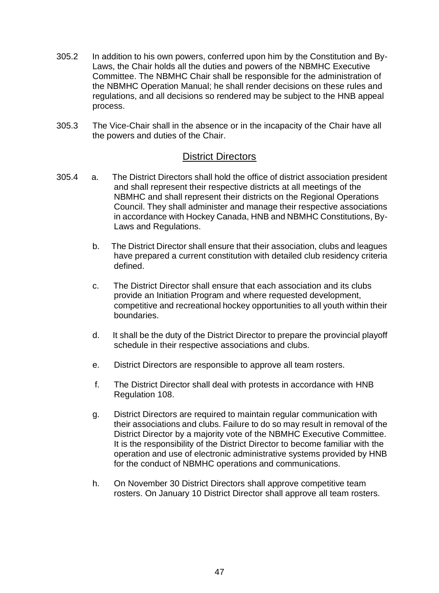- 305.2 In addition to his own powers, conferred upon him by the Constitution and By- Laws, the Chair holds all the duties and powers of the NBMHC Executive Committee. The NBMHC Chair shall be responsible for the administration of the NBMHC Operation Manual; he shall render decisions on these rules and regulations, and all decisions so rendered may be subject to the HNB appeal process.
- 305.3 The Vice-Chair shall in the absence or in the incapacity of the Chair have all the powers and duties of the Chair.

#### District Directors

- 305.4 a. The District Directors shall hold the office of district association president and shall represent their respective districts at all meetings of the NBMHC and shall represent their districts on the Regional Operations Council. They shall administer and manage their respective associations in accordance with Hockey Canada, HNB and NBMHC Constitutions, By- Laws and Regulations.
	- b. The District Director shall ensure that their association, clubs and leagues have prepared a current constitution with detailed club residency criteria defined.
	- c. The District Director shall ensure that each association and its clubs provide an Initiation Program and where requested development, competitive and recreational hockey opportunities to all youth within their boundaries.
	- d. It shall be the duty of the District Director to prepare the provincial playoff schedule in their respective associations and clubs.
	- e. District Directors are responsible to approve all team rosters.
	- f. The District Director shall deal with protests in accordance with HNB Regulation 108.
	- g. District Directors are required to maintain regular communication with their associations and clubs. Failure to do so may result in removal of the District Director by a majority vote of the NBMHC Executive Committee. It is the responsibility of the District Director to become familiar with the operation and use of electronic administrative systems provided by HNB for the conduct of NBMHC operations and communications.
	- h. On November 30 District Directors shall approve competitive team rosters. On January 10 District Director shall approve all team rosters.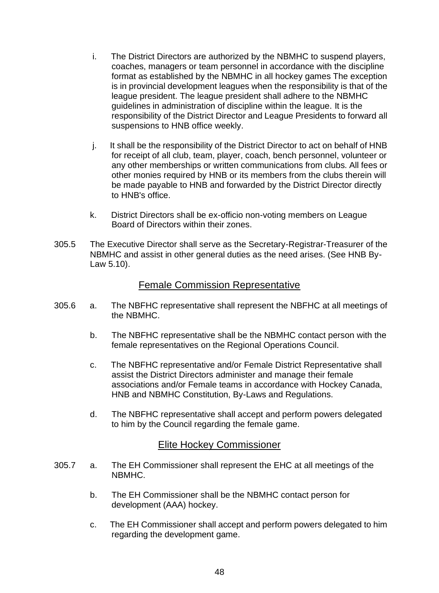- i. The District Directors are authorized by the NBMHC to suspend players, coaches, managers or team personnel in accordance with the discipline format as established by the NBMHC in all hockey games The exception is in provincial development leagues when the responsibility is that of the league president. The league president shall adhere to the NBMHC guidelines in administration of discipline within the league. It is the responsibility of the District Director and League Presidents to forward all suspensions to HNB office weekly.
- j. It shall be the responsibility of the District Director to act on behalf of HNB for receipt of all club, team, player, coach, bench personnel, volunteer or any other memberships or written communications from clubs. All fees or other monies required by HNB or its members from the clubs therein will be made payable to HNB and forwarded by the District Director directly to HNB's office.
- k. District Directors shall be ex-officio non-voting members on League Board of Directors within their zones.
- 305.5 The Executive Director shall serve as the Secretary-Registrar-Treasurer of the NBMHC and assist in other general duties as the need arises. (See HNB By- Law 5.10).

#### Female Commission Representative

- 305.6 a. The NBFHC representative shall represent the NBFHC at all meetings of the NBMHC.
	- b. The NBFHC representative shall be the NBMHC contact person with the female representatives on the Regional Operations Council.
	- c. The NBFHC representative and/or Female District Representative shall assist the District Directors administer and manage their female associations and/or Female teams in accordance with Hockey Canada, HNB and NBMHC Constitution, By-Laws and Regulations.
	- d. The NBFHC representative shall accept and perform powers delegated to him by the Council regarding the female game.

#### Elite Hockey Commissioner

- 305.7 a. The EH Commissioner shall represent the EHC at all meetings of the NBMHC.
	- b. The EH Commissioner shall be the NBMHC contact person for development (AAA) hockey.
	- c. The EH Commissioner shall accept and perform powers delegated to him regarding the development game.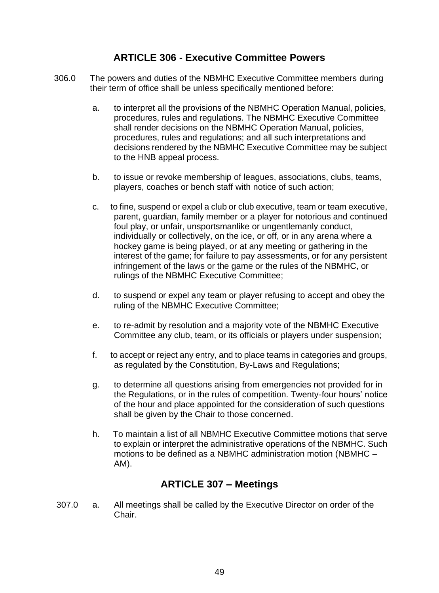#### **ARTICLE 306 - Executive Committee Powers**

- 306.0 The powers and duties of the NBMHC Executive Committee members during their term of office shall be unless specifically mentioned before:
	- a. to interpret all the provisions of the NBMHC Operation Manual, policies, procedures, rules and regulations. The NBMHC Executive Committee shall render decisions on the NBMHC Operation Manual, policies, procedures, rules and regulations; and all such interpretations and decisions rendered by the NBMHC Executive Committee may be subject to the HNB appeal process.
	- b. to issue or revoke membership of leagues, associations, clubs, teams, players, coaches or bench staff with notice of such action;
	- c. to fine, suspend or expel a club or club executive, team or team executive, parent, guardian, family member or a player for notorious and continued foul play, or unfair, unsportsmanlike or ungentlemanly conduct, individually or collectively, on the ice, or off, or in any arena where a hockey game is being played, or at any meeting or gathering in the interest of the game; for failure to pay assessments, or for any persistent infringement of the laws or the game or the rules of the NBMHC, or rulings of the NBMHC Executive Committee;
	- d. to suspend or expel any team or player refusing to accept and obey the ruling of the NBMHC Executive Committee;
	- e. to re-admit by resolution and a majority vote of the NBMHC Executive Committee any club, team, or its officials or players under suspension;
	- f. to accept or reject any entry, and to place teams in categories and groups, as regulated by the Constitution, By-Laws and Regulations;
	- g. to determine all questions arising from emergencies not provided for in the Regulations, or in the rules of competition. Twenty-four hours' notice of the hour and place appointed for the consideration of such questions shall be given by the Chair to those concerned.
	- h. To maintain a list of all NBMHC Executive Committee motions that serve to explain or interpret the administrative operations of the NBMHC. Such motions to be defined as a NBMHC administration motion (NBMHC – AM).

#### **ARTICLE 307 – Meetings**

 307.0 a. All meetings shall be called by the Executive Director on order of the Chair.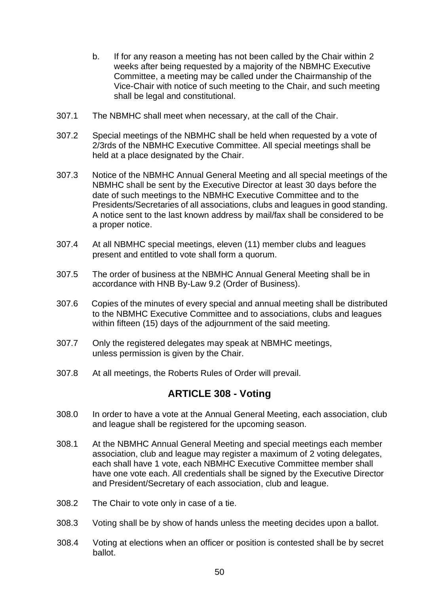- b. If for any reason a meeting has not been called by the Chair within 2 weeks after being requested by a majority of the NBMHC Executive Committee, a meeting may be called under the Chairmanship of the Vice-Chair with notice of such meeting to the Chair, and such meeting shall be legal and constitutional.
- 307.1 The NBMHC shall meet when necessary, at the call of the Chair.
- 307.2 Special meetings of the NBMHC shall be held when requested by a vote of 2/3rds of the NBMHC Executive Committee. All special meetings shall be held at a place designated by the Chair.
- 307.3 Notice of the NBMHC Annual General Meeting and all special meetings of the NBMHC shall be sent by the Executive Director at least 30 days before the date of such meetings to the NBMHC Executive Committee and to the Presidents/Secretaries of all associations, clubs and leagues in good standing. A notice sent to the last known address by mail/fax shall be considered to be a proper notice.
- 307.4 At all NBMHC special meetings, eleven (11) member clubs and leagues present and entitled to vote shall form a quorum.
- 307.5 The order of business at the NBMHC Annual General Meeting shall be in accordance with HNB By-Law 9.2 (Order of Business).
- 307.6 Copies of the minutes of every special and annual meeting shall be distributed to the NBMHC Executive Committee and to associations, clubs and leagues within fifteen (15) days of the adjournment of the said meeting.
- 307.7 Only the registered delegates may speak at NBMHC meetings, unless permission is given by the Chair.
- 307.8 At all meetings, the Roberts Rules of Order will prevail.

#### **ARTICLE 308 - Voting**

- 308.0 In order to have a vote at the Annual General Meeting, each association, club and league shall be registered for the upcoming season.
- 308.1 At the NBMHC Annual General Meeting and special meetings each member association, club and league may register a maximum of 2 voting delegates, each shall have 1 vote, each NBMHC Executive Committee member shall have one vote each. All credentials shall be signed by the Executive Director and President/Secretary of each association, club and league.
- 308.2 The Chair to vote only in case of a tie.
- 308.3 Voting shall be by show of hands unless the meeting decides upon a ballot.
- 308.4 Voting at elections when an officer or position is contested shall be by secret **ballot**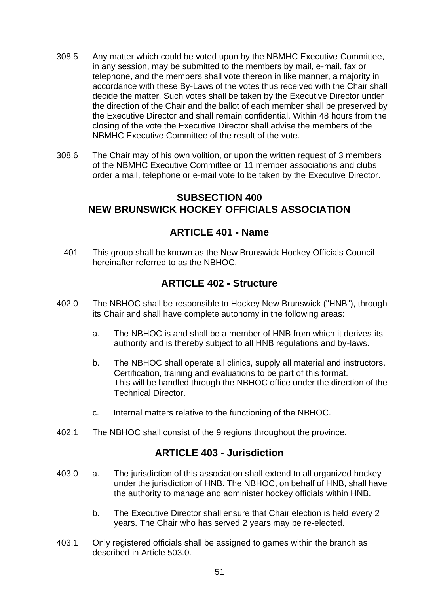- 308.5 Any matter which could be voted upon by the NBMHC Executive Committee, in any session, may be submitted to the members by mail, e-mail, fax or telephone, and the members shall vote thereon in like manner, a majority in accordance with these By-Laws of the votes thus received with the Chair shall decide the matter. Such votes shall be taken by the Executive Director under the direction of the Chair and the ballot of each member shall be preserved by the Executive Director and shall remain confidential. Within 48 hours from the closing of the vote the Executive Director shall advise the members of the NBMHC Executive Committee of the result of the vote.
- 308.6 The Chair may of his own volition, or upon the written request of 3 members of the NBMHC Executive Committee or 11 member associations and clubs order a mail, telephone or e-mail vote to be taken by the Executive Director.

#### **SUBSECTION 400 NEW BRUNSWICK HOCKEY OFFICIALS ASSOCIATION**

#### **ARTICLE 401 - Name**

 401 This group shall be known as the New Brunswick Hockey Officials Council hereinafter referred to as the NBHOC.

#### **ARTICLE 402 - Structure**

- 402.0 The NBHOC shall be responsible to Hockey New Brunswick ("HNB"), through its Chair and shall have complete autonomy in the following areas:
	- a. The NBHOC is and shall be a member of HNB from which it derives its authority and is thereby subject to all HNB regulations and by-laws.
	- b. The NBHOC shall operate all clinics, supply all material and instructors. Certification, training and evaluations to be part of this format. This will be handled through the NBHOC office under the direction of the Technical Director.
	- c. Internal matters relative to the functioning of the NBHOC.
- 402.1 The NBHOC shall consist of the 9 regions throughout the province.

#### **ARTICLE 403 - Jurisdiction**

- 403.0 a. The jurisdiction of this association shall extend to all organized hockey under the jurisdiction of HNB. The NBHOC, on behalf of HNB, shall have the authority to manage and administer hockey officials within HNB.
	- b. The Executive Director shall ensure that Chair election is held every 2 years. The Chair who has served 2 years may be re-elected.
- 403.1 Only registered officials shall be assigned to games within the branch as described in Article 503.0.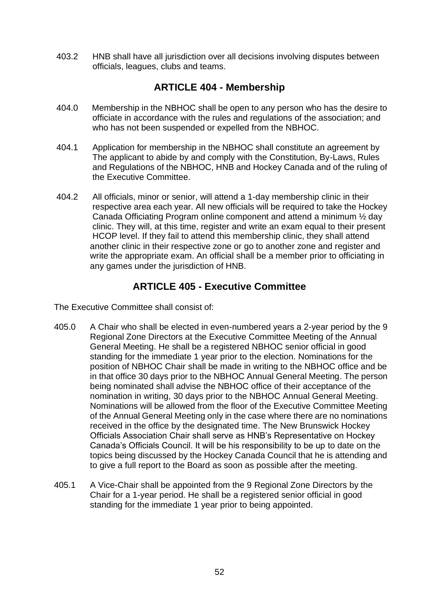403.2 HNB shall have all jurisdiction over all decisions involving disputes between officials, leagues, clubs and teams.

#### **ARTICLE 404 - Membership**

- 404.0 Membership in the NBHOC shall be open to any person who has the desire to officiate in accordance with the rules and regulations of the association; and who has not been suspended or expelled from the NBHOC.
- 404.1 Application for membership in the NBHOC shall constitute an agreement by The applicant to abide by and comply with the Constitution, By-Laws, Rules and Regulations of the NBHOC, HNB and Hockey Canada and of the ruling of the Executive Committee.
- 404.2 All officials, minor or senior, will attend a 1-day membership clinic in their respective area each year. All new officials will be required to take the Hockey Canada Officiating Program online component and attend a minimum ½ day clinic. They will, at this time, register and write an exam equal to their present HCOP level. If they fail to attend this membership clinic, they shall attend another clinic in their respective zone or go to another zone and register and write the appropriate exam. An official shall be a member prior to officiating in any games under the jurisdiction of HNB.

#### **ARTICLE 405 - Executive Committee**

The Executive Committee shall consist of:

- 405.0 A Chair who shall be elected in even-numbered years a 2-year period by the 9 Regional Zone Directors at the Executive Committee Meeting of the Annual General Meeting. He shall be a registered NBHOC senior official in good standing for the immediate 1 year prior to the election. Nominations for the position of NBHOC Chair shall be made in writing to the NBHOC office and be in that office 30 days prior to the NBHOC Annual General Meeting. The person being nominated shall advise the NBHOC office of their acceptance of the nomination in writing, 30 days prior to the NBHOC Annual General Meeting. Nominations will be allowed from the floor of the Executive Committee Meeting of the Annual General Meeting only in the case where there are no nominations received in the office by the designated time. The New Brunswick Hockey Officials Association Chair shall serve as HNB's Representative on Hockey Canada's Officials Council. It will be his responsibility to be up to date on the topics being discussed by the Hockey Canada Council that he is attending and to give a full report to the Board as soon as possible after the meeting.
- 405.1 A Vice-Chair shall be appointed from the 9 Regional Zone Directors by the Chair for a 1-year period. He shall be a registered senior official in good standing for the immediate 1 year prior to being appointed.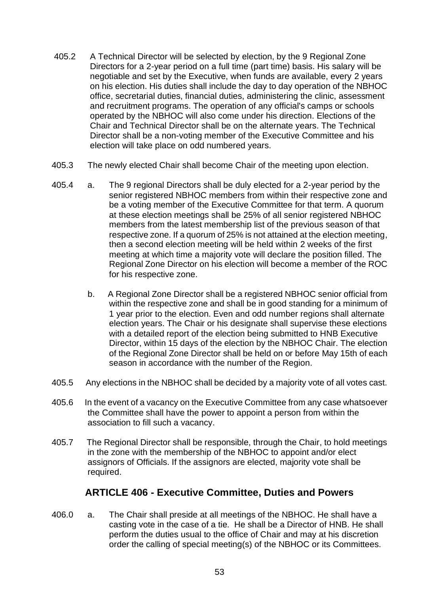- 405.2 A Technical Director will be selected by election, by the 9 Regional Zone Directors for a 2-year period on a full time (part time) basis. His salary will be negotiable and set by the Executive, when funds are available, every 2 years on his election. His duties shall include the day to day operation of the NBHOC office, secretarial duties, financial duties, administering the clinic, assessment and recruitment programs. The operation of any official's camps or schools operated by the NBHOC will also come under his direction. Elections of the Chair and Technical Director shall be on the alternate years. The Technical Director shall be a non-voting member of the Executive Committee and his election will take place on odd numbered years.
- 405.3 The newly elected Chair shall become Chair of the meeting upon election.
- 405.4 a. The 9 regional Directors shall be duly elected for a 2-year period by the senior registered NBHOC members from within their respective zone and be a voting member of the Executive Committee for that term. A quorum at these election meetings shall be 25% of all senior registered NBHOC members from the latest membership list of the previous season of that respective zone. If a quorum of 25% is not attained at the election meeting, then a second election meeting will be held within 2 weeks of the first meeting at which time a majority vote will declare the position filled. The Regional Zone Director on his election will become a member of the ROC for his respective zone.
	- b. A Regional Zone Director shall be a registered NBHOC senior official from within the respective zone and shall be in good standing for a minimum of 1 year prior to the election. Even and odd number regions shall alternate election years. The Chair or his designate shall supervise these elections with a detailed report of the election being submitted to HNB Executive Director, within 15 days of the election by the NBHOC Chair. The election of the Regional Zone Director shall be held on or before May 15th of each season in accordance with the number of the Region.
- 405.5 Any elections in the NBHOC shall be decided by a majority vote of all votes cast.
- 405.6 In the event of a vacancy on the Executive Committee from any case whatsoever the Committee shall have the power to appoint a person from within the association to fill such a vacancy.
- 405.7 The Regional Director shall be responsible, through the Chair, to hold meetings in the zone with the membership of the NBHOC to appoint and/or elect assignors of Officials. If the assignors are elected, majority vote shall be required.

#### **ARTICLE 406 - Executive Committee, Duties and Powers**

406.0 a. The Chair shall preside at all meetings of the NBHOC. He shall have a casting vote in the case of a tie. He shall be a Director of HNB. He shall perform the duties usual to the office of Chair and may at his discretion order the calling of special meeting(s) of the NBHOC or its Committees.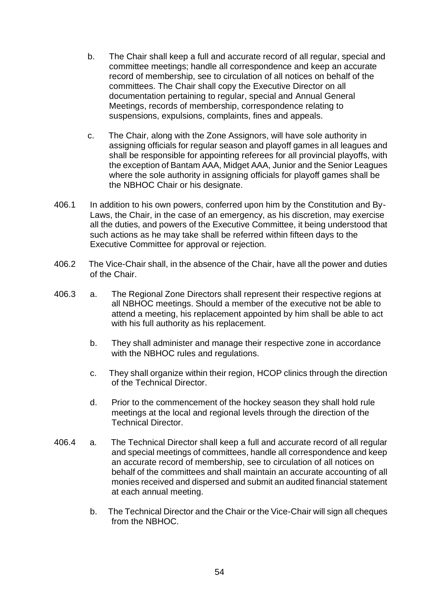- b. The Chair shall keep a full and accurate record of all regular, special and committee meetings; handle all correspondence and keep an accurate record of membership, see to circulation of all notices on behalf of the committees. The Chair shall copy the Executive Director on all documentation pertaining to regular, special and Annual General Meetings, records of membership, correspondence relating to suspensions, expulsions, complaints, fines and appeals.
- c. The Chair, along with the Zone Assignors, will have sole authority in assigning officials for regular season and playoff games in all leagues and shall be responsible for appointing referees for all provincial playoffs, with the exception of Bantam AAA, Midget AAA, Junior and the Senior Leagues where the sole authority in assigning officials for playoff games shall be the NBHOC Chair or his designate.
- 406.1 In addition to his own powers, conferred upon him by the Constitution and By- Laws, the Chair, in the case of an emergency, as his discretion, may exercise all the duties, and powers of the Executive Committee, it being understood that such actions as he may take shall be referred within fifteen days to the Executive Committee for approval or rejection.
- 406.2 The Vice-Chair shall, in the absence of the Chair, have all the power and duties of the Chair.
- 406.3 a. The Regional Zone Directors shall represent their respective regions at all NBHOC meetings. Should a member of the executive not be able to attend a meeting, his replacement appointed by him shall be able to act with his full authority as his replacement.
	- b. They shall administer and manage their respective zone in accordance with the NBHOC rules and regulations.
	- c. They shall organize within their region, HCOP clinics through the direction of the Technical Director.
	- d. Prior to the commencement of the hockey season they shall hold rule meetings at the local and regional levels through the direction of the Technical Director.
- 406.4 a. The Technical Director shall keep a full and accurate record of all regular and special meetings of committees, handle all correspondence and keep an accurate record of membership, see to circulation of all notices on behalf of the committees and shall maintain an accurate accounting of all monies received and dispersed and submit an audited financial statement at each annual meeting.
	- b. The Technical Director and the Chair or the Vice-Chair will sign all cheques from the NBHOC.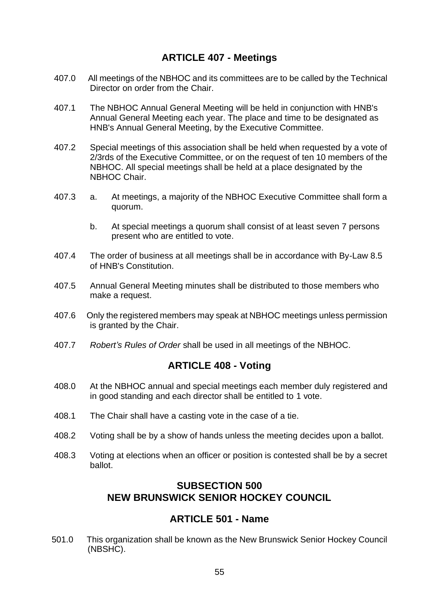#### **ARTICLE 407 - Meetings**

- 407.0 All meetings of the NBHOC and its committees are to be called by the Technical Director on order from the Chair.
- 407.1 The NBHOC Annual General Meeting will be held in conjunction with HNB's Annual General Meeting each year. The place and time to be designated as HNB's Annual General Meeting, by the Executive Committee.
- 407.2 Special meetings of this association shall be held when requested by a vote of 2/3rds of the Executive Committee, or on the request of ten 10 members of the NBHOC. All special meetings shall be held at a place designated by the NBHOC Chair.
- 407.3 a. At meetings, a majority of the NBHOC Executive Committee shall form a quorum.
	- b. At special meetings a quorum shall consist of at least seven 7 persons present who are entitled to vote.
- 407.4 The order of business at all meetings shall be in accordance with By-Law 8.5 of HNB's Constitution.
- 407.5 Annual General Meeting minutes shall be distributed to those members who make a request.
- 407.6 Only the registered members may speak at NBHOC meetings unless permission is granted by the Chair.
- 407.7 *Robert's Rules of Order* shall be used in all meetings of the NBHOC.

#### **ARTICLE 408 - Voting**

- 408.0 At the NBHOC annual and special meetings each member duly registered and in good standing and each director shall be entitled to 1 vote.
- 408.1 The Chair shall have a casting vote in the case of a tie.
- 408.2 Voting shall be by a show of hands unless the meeting decides upon a ballot.
- 408.3 Voting at elections when an officer or position is contested shall be by a secret ballot.

#### **SUBSECTION 500 NEW BRUNSWICK SENIOR HOCKEY COUNCIL**

#### **ARTICLE 501 - Name**

501.0 This organization shall be known as the New Brunswick Senior Hockey Council (NBSHC).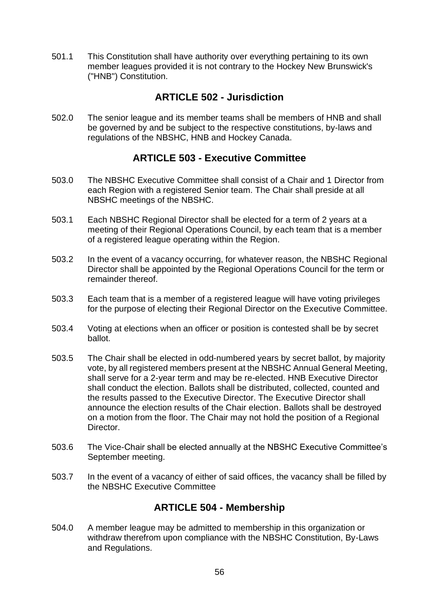501.1 This Constitution shall have authority over everything pertaining to its own member leagues provided it is not contrary to the Hockey New Brunswick's ("HNB") Constitution.

#### **ARTICLE 502 - Jurisdiction**

502.0 The senior league and its member teams shall be members of HNB and shall be governed by and be subject to the respective constitutions, by-laws and regulations of the NBSHC, HNB and Hockey Canada.

#### **ARTICLE 503 - Executive Committee**

- 503.0 The NBSHC Executive Committee shall consist of a Chair and 1 Director from each Region with a registered Senior team. The Chair shall preside at all NBSHC meetings of the NBSHC.
- 503.1 Each NBSHC Regional Director shall be elected for a term of 2 years at a meeting of their Regional Operations Council, by each team that is a member of a registered league operating within the Region.
- 503.2 In the event of a vacancy occurring, for whatever reason, the NBSHC Regional Director shall be appointed by the Regional Operations Council for the term or remainder thereof.
- 503.3 Each team that is a member of a registered league will have voting privileges for the purpose of electing their Regional Director on the Executive Committee.
- 503.4 Voting at elections when an officer or position is contested shall be by secret ballot.
- 503.5 The Chair shall be elected in odd-numbered years by secret ballot, by majority vote, by all registered members present at the NBSHC Annual General Meeting, shall serve for a 2-year term and may be re-elected. HNB Executive Director shall conduct the election. Ballots shall be distributed, collected, counted and the results passed to the Executive Director. The Executive Director shall announce the election results of the Chair election. Ballots shall be destroyed on a motion from the floor. The Chair may not hold the position of a Regional Director.
- 503.6 The Vice-Chair shall be elected annually at the NBSHC Executive Committee's September meeting.
- 503.7 In the event of a vacancy of either of said offices, the vacancy shall be filled by the NBSHC Executive Committee

#### **ARTICLE 504 - Membership**

504.0 A member league may be admitted to membership in this organization or withdraw therefrom upon compliance with the NBSHC Constitution, By-Laws and Regulations.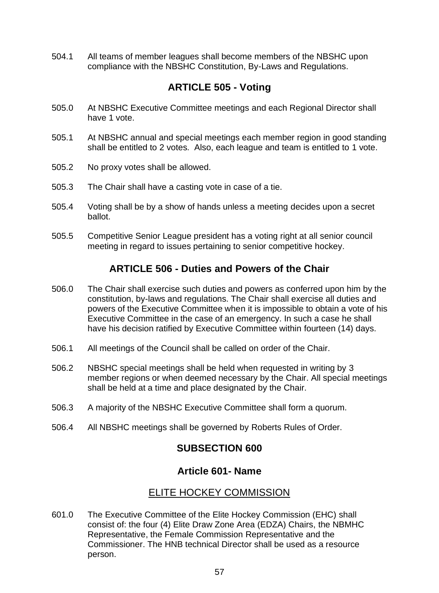504.1 All teams of member leagues shall become members of the NBSHC upon compliance with the NBSHC Constitution, By-Laws and Regulations.

#### **ARTICLE 505 - Voting**

- 505.0 At NBSHC Executive Committee meetings and each Regional Director shall have 1 vote.
- 505.1 At NBSHC annual and special meetings each member region in good standing shall be entitled to 2 votes. Also, each league and team is entitled to 1 vote.
- 505.2 No proxy votes shall be allowed.
- 505.3 The Chair shall have a casting vote in case of a tie.
- 505.4 Voting shall be by a show of hands unless a meeting decides upon a secret ballot.
- 505.5 Competitive Senior League president has a voting right at all senior council meeting in regard to issues pertaining to senior competitive hockey.

#### **ARTICLE 506 - Duties and Powers of the Chair**

- 506.0 The Chair shall exercise such duties and powers as conferred upon him by the constitution, by-laws and regulations. The Chair shall exercise all duties and powers of the Executive Committee when it is impossible to obtain a vote of his Executive Committee in the case of an emergency. In such a case he shall have his decision ratified by Executive Committee within fourteen (14) days.
- 506.1 All meetings of the Council shall be called on order of the Chair.
- 506.2 NBSHC special meetings shall be held when requested in writing by 3 member regions or when deemed necessary by the Chair. All special meetings shall be held at a time and place designated by the Chair.
- 506.3 A majority of the NBSHC Executive Committee shall form a quorum.
- 506.4 All NBSHC meetings shall be governed by Roberts Rules of Order.

#### **SUBSECTION 600**

#### **Article 601- Name**

#### ELITE HOCKEY COMMISSION

601.0 The Executive Committee of the Elite Hockey Commission (EHC) shall consist of: the four (4) Elite Draw Zone Area (EDZA) Chairs, the NBMHC Representative, the Female Commission Representative and the Commissioner. The HNB technical Director shall be used as a resource person.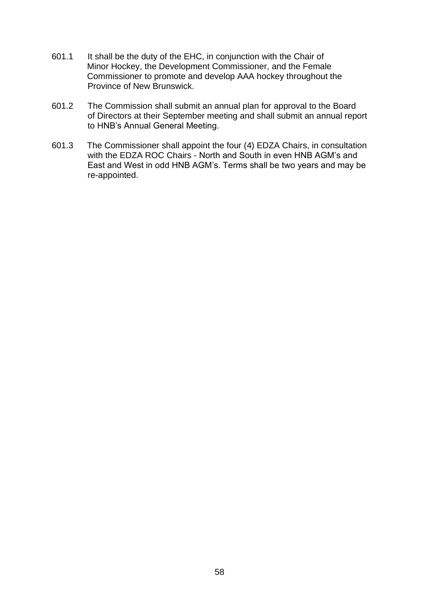- 601.1 It shall be the duty of the EHC, in conjunction with the Chair of Minor Hockey, the Development Commissioner, and the Female Commissioner to promote and develop AAA hockey throughout the Province of New Brunswick.
- 601.2 The Commission shall submit an annual plan for approval to the Board of Directors at their September meeting and shall submit an annual report to HNB's Annual General Meeting.
- 601.3 The Commissioner shall appoint the four (4) EDZA Chairs, in consultation with the EDZA ROC Chairs - North and South in even HNB AGM's and East and West in odd HNB AGM's. Terms shall be two years and may be re-appointed.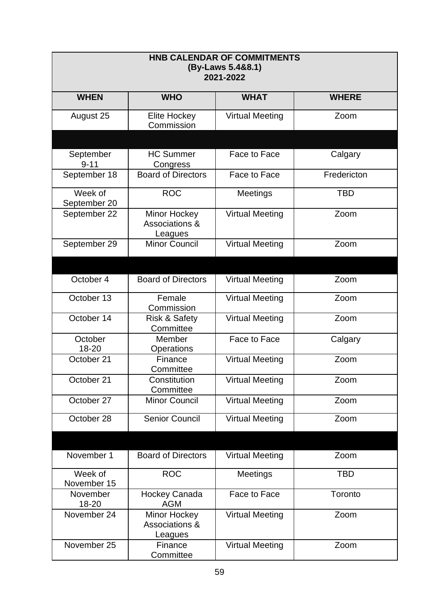| <b>HNB CALENDAR OF COMMITMENTS</b><br>(By-Laws 5.4&8.1)<br>2021-2022 |                                           |                        |                    |
|----------------------------------------------------------------------|-------------------------------------------|------------------------|--------------------|
| <b>WHFN</b>                                                          | <b>WHO</b>                                | <b>WHAT</b>            | <b>WHERE</b>       |
| August 25                                                            | Elite Hockey<br>Commission                | Virtual Meeting        | Zoom               |
|                                                                      |                                           |                        |                    |
| September<br>$9 - 11$                                                | <b>HC Summer</b><br>Congress              | Face to Face           | Calgary            |
| September 18                                                         | <b>Board of Directors</b>                 | Face to Face           | Fredericton        |
| Week of<br>September 20                                              | <b>ROC</b>                                | Meetings               | TBD                |
| September 22                                                         | Minor Hockey<br>Associations &<br>Leagues | <b>Virtual Meeting</b> | Zoom               |
| September 29                                                         | Minor Council                             | <b>Virtual Meeting</b> | Zoom               |
|                                                                      |                                           |                        |                    |
| October 4                                                            | <b>Board of Directors</b>                 | <b>Virtual Meeting</b> | Z <sub>oom</sub>   |
| October 13                                                           | Female<br>Commission                      | <b>Virtual Meeting</b> | Zoom               |
| October 14                                                           | Risk & Safety<br>Committee                | <b>Virtual Meeting</b> | Zoom               |
| October<br>18-20                                                     | Member<br>Operations                      | Face to Face           | Calgary            |
| October 21                                                           | Finance<br>Committee                      | <b>Virtual Meeting</b> | Zoom               |
| October 21                                                           | Constitution<br>Committee                 | <b>Virtual Meeting</b> | $\overline{Z}$ oom |
| October 27                                                           | Minor Council                             | <b>Virtual Meeting</b> | $\overline{Z}$ oom |
| October 28                                                           | Senior Council                            | Virtual Meeting        | Zoom               |
|                                                                      |                                           |                        |                    |
| November 1                                                           | <b>Board of Directors</b>                 | <b>Virtual Meeting</b> | Z <sub>oom</sub>   |
| Week of<br>November 15                                               | <b>ROC</b>                                | Meetings               | TBD                |
| November<br>18-20                                                    | Hockey Canada<br><b>AGM</b>               | Face to Face           | Toronto            |
| November 24                                                          | Minor Hockey<br>Associations &<br>Leagues | <b>Virtual Meeting</b> | Zoom               |
| November 25                                                          | Finance<br>Committee                      | <b>Virtual Meeting</b> | Zoom               |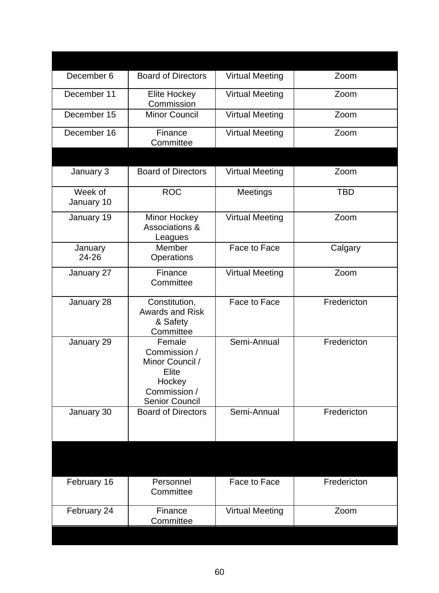| December 6            | <b>Board of Directors</b>                                                                      | Virtual Meeting | Zoom        |
|-----------------------|------------------------------------------------------------------------------------------------|-----------------|-------------|
| December 11           | Elite Hockey<br>Commission                                                                     | Virtual Meeting | Zoom        |
| December 15           | Minor Council                                                                                  | Virtual Meeting | Zoom        |
| December 16           | Finance<br>Committee                                                                           | Virtual Meeting | Zoom        |
|                       |                                                                                                |                 |             |
| January 3             | <b>Board of Directors</b>                                                                      | Virtual Meeting | Zoom        |
| Week of<br>January 10 | ROC.                                                                                           | Meetings        | TBD         |
| January 19            | Minor Hockey<br>Associations &<br>Leagues                                                      | Virtual Meeting | Zoom        |
| January<br>24-26      | Member<br>Operations                                                                           | Face to Face    | Calgary     |
| January 27            | Finance<br>Committee                                                                           | Virtual Meeting | Zoom        |
| January 28            | Constitution.<br>Awards and Risk<br>& Safety<br>Committee                                      | Face to Face    | Fredericton |
| January 29            | Female<br>Commission /<br>Minor Council /<br>Elite<br>Hockey<br>Commission /<br>Senior Council | Semi-Annual     | Fredericton |
| January 30            | <b>Board of Directors</b>                                                                      | Semi-Annual     | Fredericton |
|                       |                                                                                                |                 |             |
| February 16           | Personnel<br>Committee                                                                         | Face to Face    | Fredericton |
| February 24           | Finance<br>Committee                                                                           | Virtual Meeting | Zoom        |
|                       |                                                                                                |                 |             |